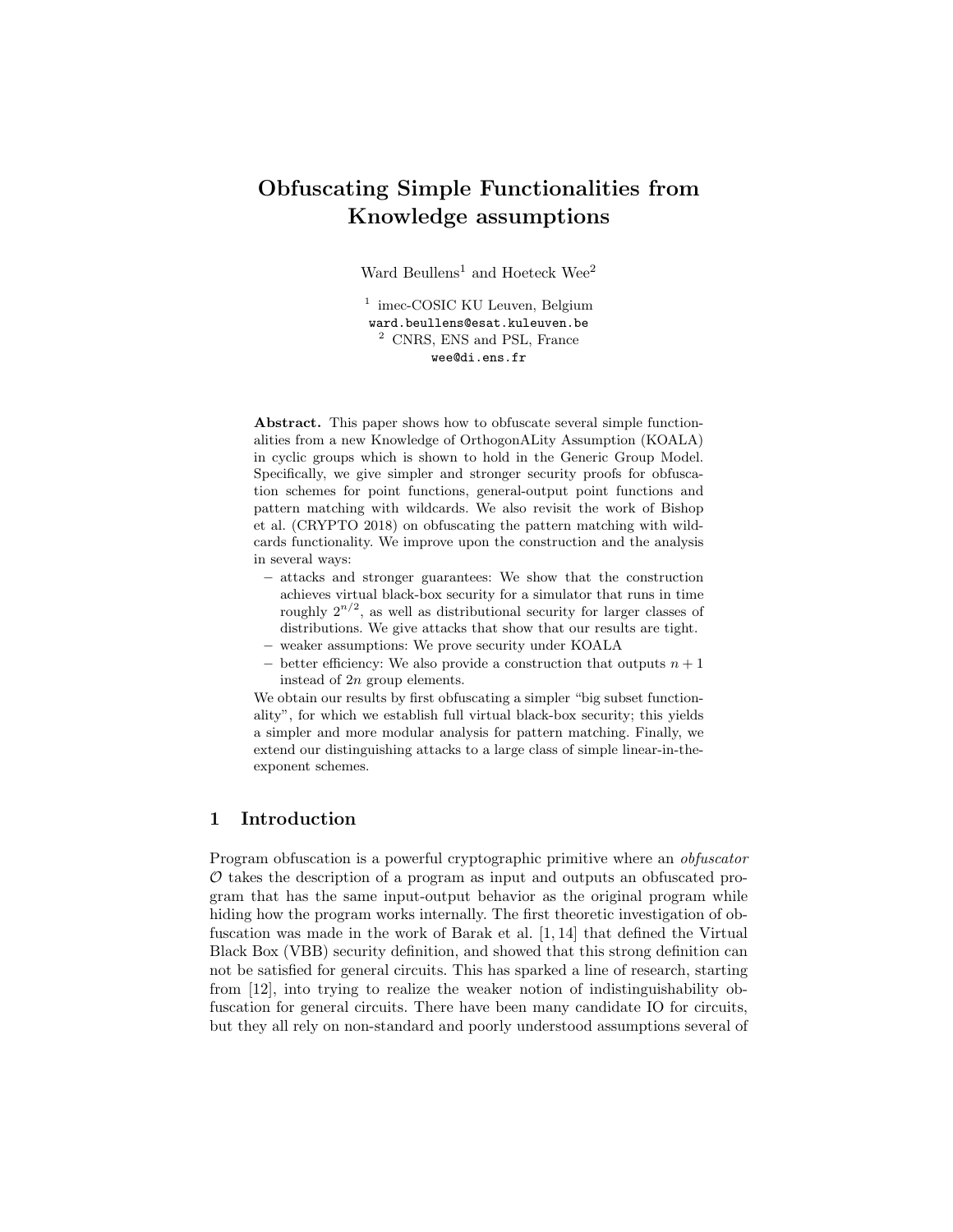# Obfuscating Simple Functionalities from Knowledge assumptions

Ward Beullens<sup>1</sup> and Hoeteck Wee<sup>2</sup>

<sup>1</sup> imec-COSIC KU Leuven, Belgium ward.beullens@esat.kuleuven.be <sup>2</sup> CNRS, ENS and PSL, France wee@di.ens.fr

Abstract. This paper shows how to obfuscate several simple functionalities from a new Knowledge of OrthogonALity Assumption (KOALA) in cyclic groups which is shown to hold in the Generic Group Model. Specifically, we give simpler and stronger security proofs for obfuscation schemes for point functions, general-output point functions and pattern matching with wildcards. We also revisit the work of Bishop et al. (CRYPTO 2018) on obfuscating the pattern matching with wildcards functionality. We improve upon the construction and the analysis in several ways:

- attacks and stronger guarantees: We show that the construction achieves virtual black-box security for a simulator that runs in time roughly  $2^{n/2}$ , as well as distributional security for larger classes of distributions. We give attacks that show that our results are tight.
- weaker assumptions: We prove security under KOALA
- better efficiency: We also provide a construction that outputs  $n + 1$ instead of 2n group elements.

We obtain our results by first obfuscating a simpler "big subset functionality", for which we establish full virtual black-box security; this yields a simpler and more modular analysis for pattern matching. Finally, we extend our distinguishing attacks to a large class of simple linear-in-theexponent schemes.

## 1 Introduction

Program obfuscation is a powerful cryptographic primitive where an obfuscator  $\mathcal O$  takes the description of a program as input and outputs an obfuscated program that has the same input-output behavior as the original program while hiding how the program works internally. The first theoretic investigation of obfuscation was made in the work of Barak et al. [1, 14] that defined the Virtual Black Box (VBB) security definition, and showed that this strong definition can not be satisfied for general circuits. This has sparked a line of research, starting from [12], into trying to realize the weaker notion of indistinguishability obfuscation for general circuits. There have been many candidate IO for circuits, but they all rely on non-standard and poorly understood assumptions several of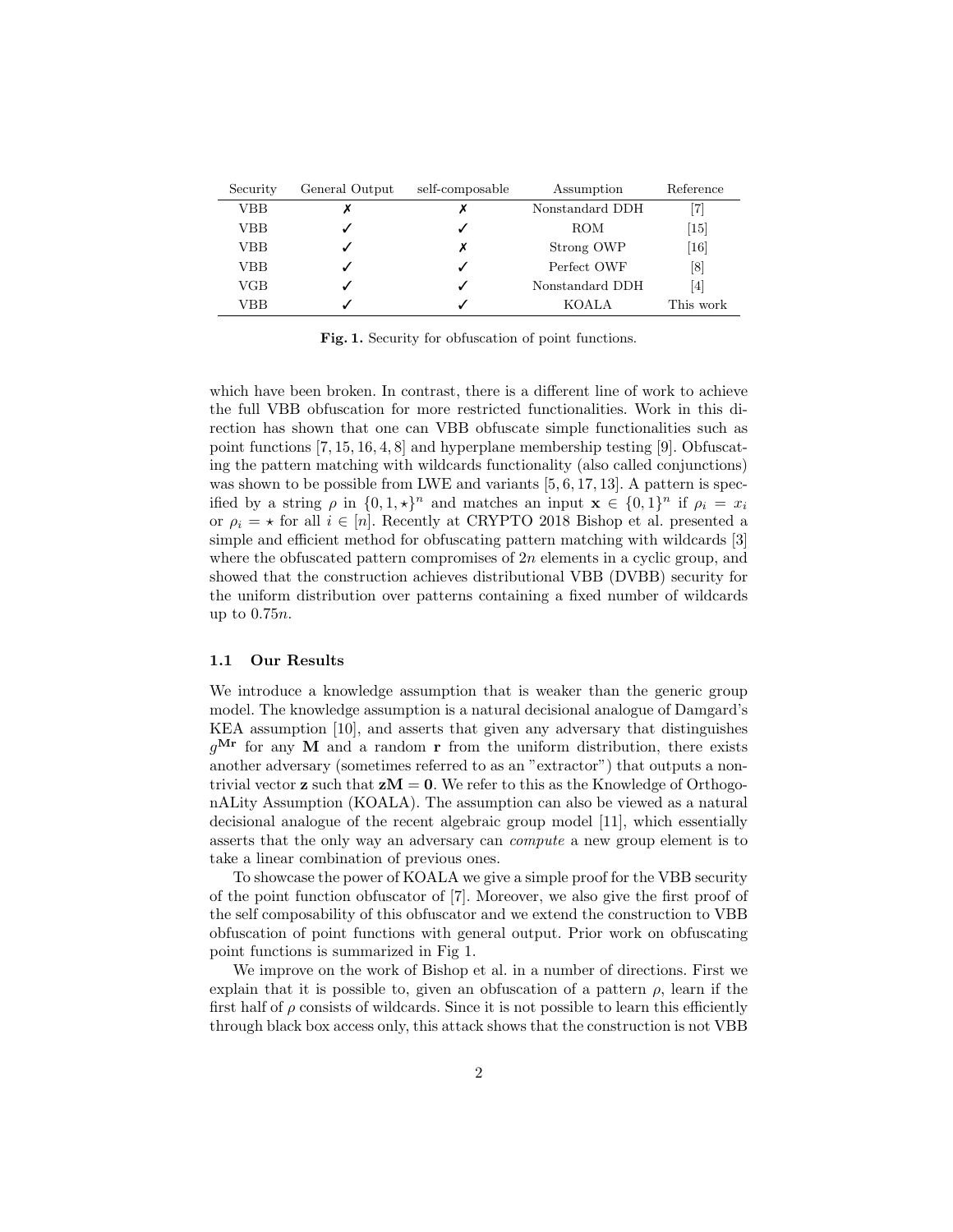| Security | General Output | self-composable | Assumption                            | Reference         |
|----------|----------------|-----------------|---------------------------------------|-------------------|
| VBB      |                |                 | Nonstandard DDH                       | 71                |
| VBB      |                |                 | ROM                                   | $\left[15\right]$ |
| VBB      |                | х               | Strong OWP                            | [16]              |
| VBB      |                |                 | Perfect OWF                           | [8]               |
| VGB      |                |                 | $\left[ 4 \right]$<br>Nonstandard DDH |                   |
| VBB      |                |                 | <b>KOALA</b>                          | This work         |

Fig. 1. Security for obfuscation of point functions.

which have been broken. In contrast, there is a different line of work to achieve the full VBB obfuscation for more restricted functionalities. Work in this direction has shown that one can VBB obfuscate simple functionalities such as point functions [7, 15, 16, 4, 8] and hyperplane membership testing [9]. Obfuscating the pattern matching with wildcards functionality (also called conjunctions) was shown to be possible from LWE and variants  $[5, 6, 17, 13]$ . A pattern is specified by a string  $\rho$  in  $\{0, 1, \star\}^n$  and matches an input  $\mathbf{x} \in \{0, 1\}^n$  if  $\rho_i = x_i$ or  $\rho_i = \star$  for all  $i \in [n]$ . Recently at CRYPTO 2018 Bishop et al. presented a simple and efficient method for obfuscating pattern matching with wildcards [3] where the obfuscated pattern compromises of  $2n$  elements in a cyclic group, and showed that the construction achieves distributional VBB (DVBB) security for the uniform distribution over patterns containing a fixed number of wildcards up to 0.75n.

#### 1.1 Our Results

We introduce a knowledge assumption that is weaker than the generic group model. The knowledge assumption is a natural decisional analogue of Damgard's KEA assumption [10], and asserts that given any adversary that distinguishes  $q^{\text{Mr}}$  for any M and a random r from the uniform distribution, there exists another adversary (sometimes referred to as an "extractor") that outputs a nontrivial vector **z** such that  $zM = 0$ . We refer to this as the Knowledge of OrthogonALity Assumption (KOALA). The assumption can also be viewed as a natural decisional analogue of the recent algebraic group model [11], which essentially asserts that the only way an adversary can compute a new group element is to take a linear combination of previous ones.

To showcase the power of KOALA we give a simple proof for the VBB security of the point function obfuscator of [7]. Moreover, we also give the first proof of the self composability of this obfuscator and we extend the construction to VBB obfuscation of point functions with general output. Prior work on obfuscating point functions is summarized in Fig 1.

We improve on the work of Bishop et al. in a number of directions. First we explain that it is possible to, given an obfuscation of a pattern  $\rho$ , learn if the first half of  $\rho$  consists of wildcards. Since it is not possible to learn this efficiently through black box access only, this attack shows that the construction is not VBB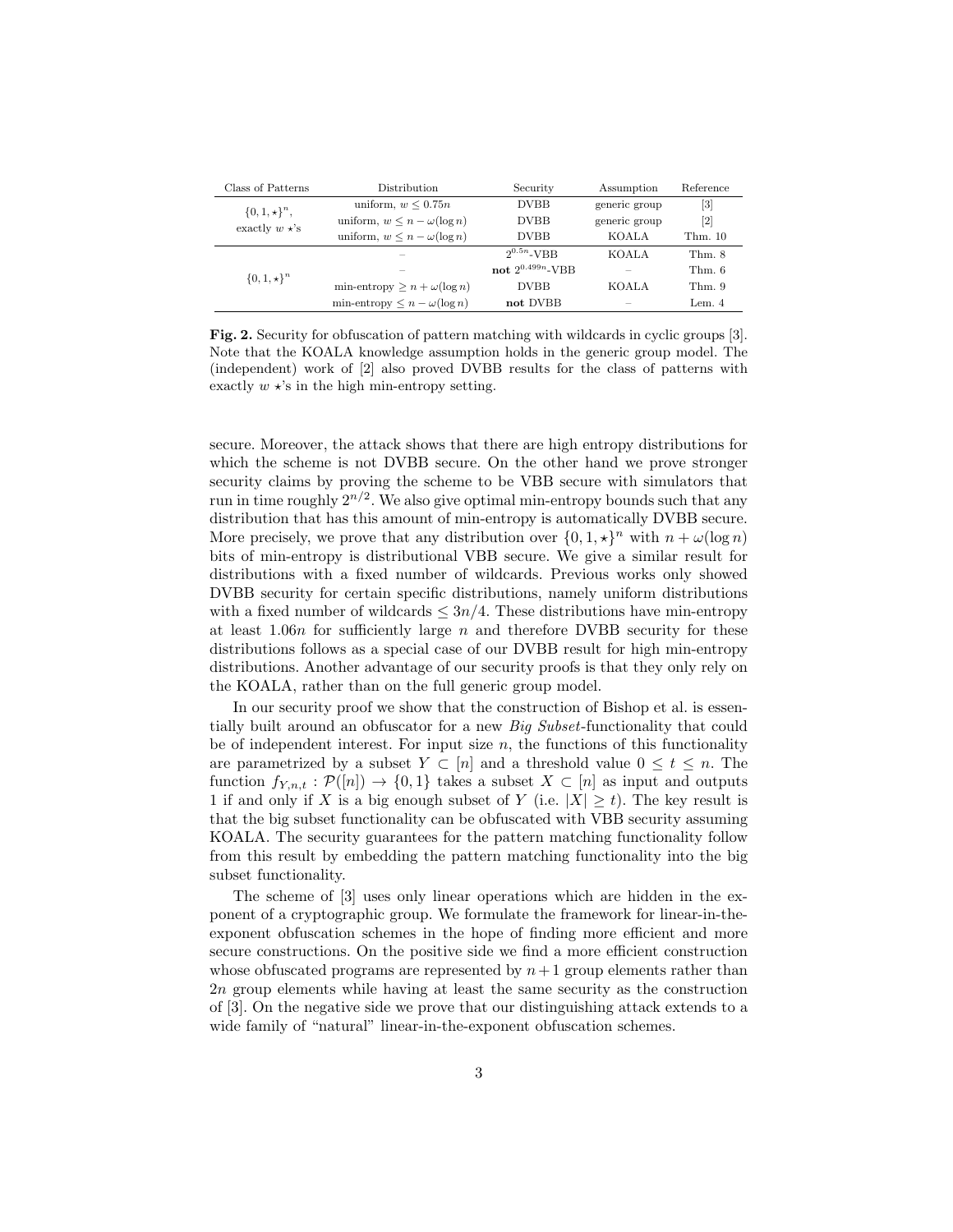| Class of Patterns     | <b>Distribution</b>                   | Security              | Assumption    | Reference         |
|-----------------------|---------------------------------------|-----------------------|---------------|-------------------|
| $\{0, 1, \star\}^n$ , | uniform, $w \leq 0.75n$               | <b>DVBB</b>           | generic group | $\lceil 3 \rceil$ |
| exactly $w \star$ 's  | uniform, $w \leq n - \omega(\log n)$  | <b>DVBB</b>           | generic group | $\lceil 2 \rceil$ |
|                       | uniform, $w \leq n - \omega(\log n)$  | <b>DVBB</b>           | KOALA         | Thm. 10           |
|                       |                                       | $2^{0.5n}$ -VBB       | <b>KOALA</b>  | Thm. 8            |
| $\{0, 1, \star\}^n$   |                                       | not $2^{0.499n}$ -VBB |               | Thm. 6            |
|                       | min-entropy $\geq n + \omega(\log n)$ | <b>DVBB</b>           | <b>KOALA</b>  | Thm.9             |
|                       | min-entropy $\leq n - \omega(\log n)$ | not DVBB              |               | Lem. $4$          |

Fig. 2. Security for obfuscation of pattern matching with wildcards in cyclic groups [3]. Note that the KOALA knowledge assumption holds in the generic group model. The (independent) work of [2] also proved DVBB results for the class of patterns with exactly  $w \star$ 's in the high min-entropy setting.

secure. Moreover, the attack shows that there are high entropy distributions for which the scheme is not DVBB secure. On the other hand we prove stronger security claims by proving the scheme to be VBB secure with simulators that run in time roughly  $2^{n/2}$ . We also give optimal min-entropy bounds such that any distribution that has this amount of min-entropy is automatically DVBB secure. More precisely, we prove that any distribution over  $\{0, 1, \star\}^n$  with  $n + \omega(\log n)$ bits of min-entropy is distributional VBB secure. We give a similar result for distributions with a fixed number of wildcards. Previous works only showed DVBB security for certain specific distributions, namely uniform distributions with a fixed number of wildcards  $\leq 3n/4$ . These distributions have min-entropy at least 1.06n for sufficiently large  $n$  and therefore DVBB security for these distributions follows as a special case of our DVBB result for high min-entropy distributions. Another advantage of our security proofs is that they only rely on the KOALA, rather than on the full generic group model.

In our security proof we show that the construction of Bishop et al. is essentially built around an obfuscator for a new Big Subset-functionality that could be of independent interest. For input size  $n$ , the functions of this functionality are parametrized by a subset  $Y \subset [n]$  and a threshold value  $0 \le t \le n$ . The function  $f_{Y,n,t} : \mathcal{P}([n]) \to \{0,1\}$  takes a subset  $X \subset [n]$  as input and outputs 1 if and only if X is a big enough subset of Y (i.e.  $|X| \ge t$ ). The key result is that the big subset functionality can be obfuscated with VBB security assuming KOALA. The security guarantees for the pattern matching functionality follow from this result by embedding the pattern matching functionality into the big subset functionality.

The scheme of [3] uses only linear operations which are hidden in the exponent of a cryptographic group. We formulate the framework for linear-in-theexponent obfuscation schemes in the hope of finding more efficient and more secure constructions. On the positive side we find a more efficient construction whose obfuscated programs are represented by  $n+1$  group elements rather than 2n group elements while having at least the same security as the construction of [3]. On the negative side we prove that our distinguishing attack extends to a wide family of "natural" linear-in-the-exponent obfuscation schemes.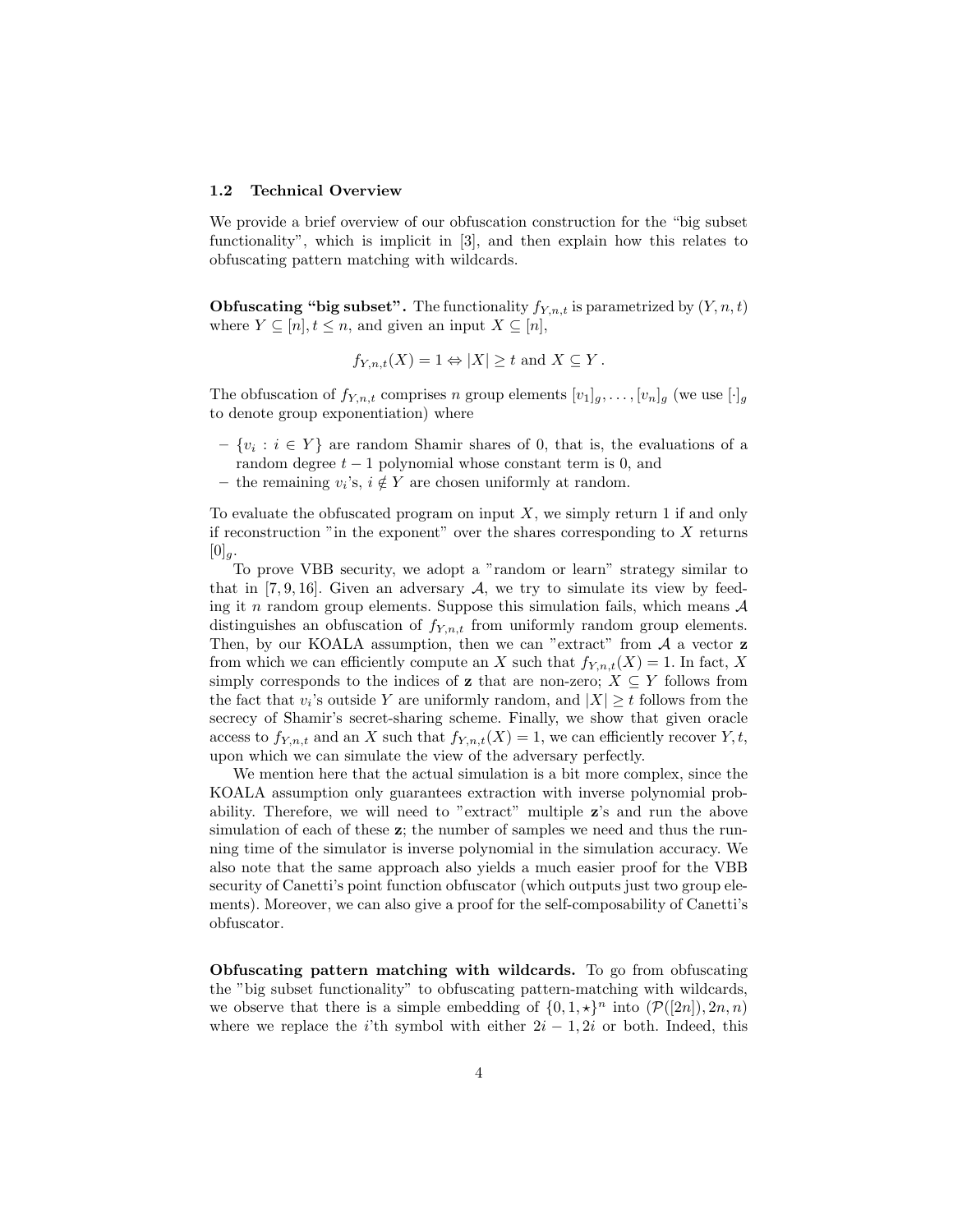#### 1.2 Technical Overview

We provide a brief overview of our obfuscation construction for the "big subset functionality", which is implicit in [3], and then explain how this relates to obfuscating pattern matching with wildcards.

**Obfuscating "big subset".** The functionality  $f_{Y,n,t}$  is parametrized by  $(Y, n, t)$ where  $Y \subseteq [n], t \leq n$ , and given an input  $X \subseteq [n]$ ,

$$
f_{Y,n,t}(X) = 1 \Leftrightarrow |X| \ge t
$$
 and  $X \subseteq Y$ .

The obfuscation of  $f_{Y,n,t}$  comprises n group elements  $[v_1]_g, \ldots, [v_n]_g$  (we use  $[\cdot]_g$ ) to denote group exponentiation) where

- $\{v_i : i \in Y\}$  are random Shamir shares of 0, that is, the evaluations of a random degree  $t-1$  polynomial whose constant term is 0, and
- the remaining  $v_i$ 's,  $i \notin Y$  are chosen uniformly at random.

To evaluate the obfuscated program on input  $X$ , we simply return 1 if and only if reconstruction "in the exponent" over the shares corresponding to  $X$  returns  $[0]_g.$ 

To prove VBB security, we adopt a "random or learn" strategy similar to that in [7, 9, 16]. Given an adversary  $A$ , we try to simulate its view by feeding it n random group elements. Suppose this simulation fails, which means  $A$ distinguishes an obfuscation of  $f_{Y,n,t}$  from uniformly random group elements. Then, by our KOALA assumption, then we can "extract" from  $A$  a vector  $z$ from which we can efficiently compute an X such that  $f_{Y,n,t}(X) = 1$ . In fact, X simply corresponds to the indices of z that are non-zero;  $X \subseteq Y$  follows from the fact that  $v_i$ 's outside Y are uniformly random, and  $|X| \ge t$  follows from the secrecy of Shamir's secret-sharing scheme. Finally, we show that given oracle access to  $f_{Y,n,t}$  and an X such that  $f_{Y,n,t}(X) = 1$ , we can efficiently recover Y, t, upon which we can simulate the view of the adversary perfectly.

We mention here that the actual simulation is a bit more complex, since the KOALA assumption only guarantees extraction with inverse polynomial probability. Therefore, we will need to "extract" multiple z's and run the above simulation of each of these  $z$ ; the number of samples we need and thus the running time of the simulator is inverse polynomial in the simulation accuracy. We also note that the same approach also yields a much easier proof for the VBB security of Canetti's point function obfuscator (which outputs just two group elements). Moreover, we can also give a proof for the self-composability of Canetti's obfuscator.

Obfuscating pattern matching with wildcards. To go from obfuscating the "big subset functionality" to obfuscating pattern-matching with wildcards, we observe that there is a simple embedding of  $\{0, 1, \star\}^n$  into  $(\mathcal{P}([2n]), 2n, n)$ where we replace the i'th symbol with either  $2i - 1, 2i$  or both. Indeed, this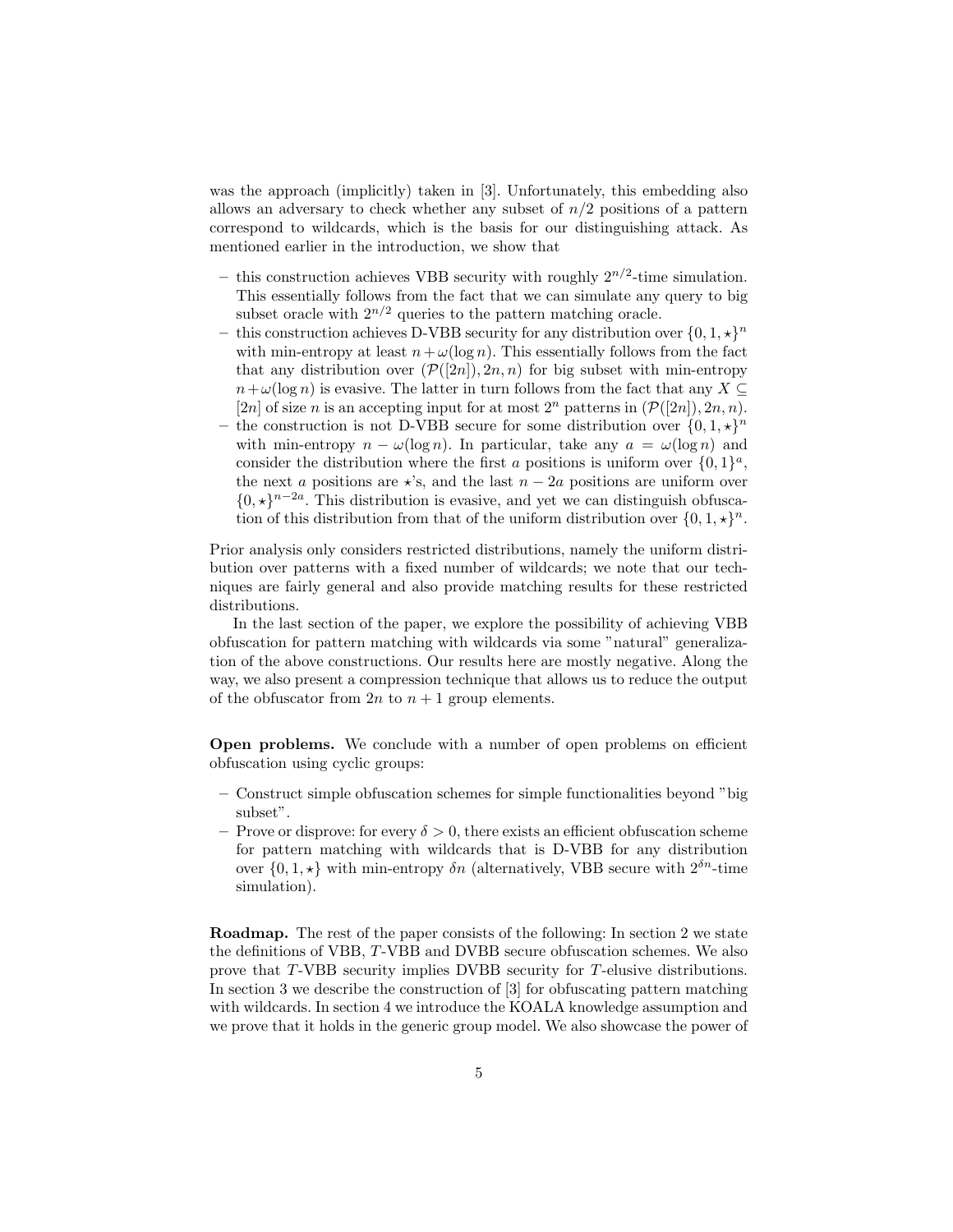was the approach (implicitly) taken in [3]. Unfortunately, this embedding also allows an adversary to check whether any subset of  $n/2$  positions of a pattern correspond to wildcards, which is the basis for our distinguishing attack. As mentioned earlier in the introduction, we show that

- this construction achieves VBB security with roughly  $2^{n/2}$ -time simulation. This essentially follows from the fact that we can simulate any query to big subset oracle with  $2^{n/2}$  queries to the pattern matching oracle.
- this construction achieves D-VBB security for any distribution over  $\{0, 1, \star\}^n$ with min-entropy at least  $n+\omega(\log n)$ . This essentially follows from the fact that any distribution over  $(\mathcal{P}([2n]), 2n, n)$  for big subset with min-entropy  $n+\omega(\log n)$  is evasive. The latter in turn follows from the fact that any  $X \subseteq$ [2n] of size n is an accepting input for at most  $2^n$  patterns in  $(\mathcal{P}([2n]), 2n, n)$ .
- the construction is not D-VBB secure for some distribution over  $\{0, 1, \star\}^n$ with min-entropy  $n - \omega(\log n)$ . In particular, take any  $a = \omega(\log n)$  and consider the distribution where the first a positions is uniform over  $\{0,1\}^a$ , the next a positions are  $\star$ 's, and the last  $n - 2a$  positions are uniform over  $\{0, \star\}^{n-2a}$ . This distribution is evasive, and yet we can distinguish obfuscation of this distribution from that of the uniform distribution over  $\{0, 1, \star\}^n$ .

Prior analysis only considers restricted distributions, namely the uniform distribution over patterns with a fixed number of wildcards; we note that our techniques are fairly general and also provide matching results for these restricted distributions.

In the last section of the paper, we explore the possibility of achieving VBB obfuscation for pattern matching with wildcards via some "natural" generalization of the above constructions. Our results here are mostly negative. Along the way, we also present a compression technique that allows us to reduce the output of the obfuscator from  $2n$  to  $n + 1$  group elements.

Open problems. We conclude with a number of open problems on efficient obfuscation using cyclic groups:

- Construct simple obfuscation schemes for simple functionalities beyond "big subset".
- Prove or disprove: for every  $\delta > 0$ , there exists an efficient obfuscation scheme for pattern matching with wildcards that is D-VBB for any distribution over  $\{0, 1, \star\}$  with min-entropy  $\delta n$  (alternatively, VBB secure with  $2^{\delta n}$ -time simulation).

Roadmap. The rest of the paper consists of the following: In section 2 we state the definitions of VBB, T-VBB and DVBB secure obfuscation schemes. We also prove that T-VBB security implies DVBB security for T-elusive distributions. In section 3 we describe the construction of [3] for obfuscating pattern matching with wildcards. In section 4 we introduce the KOALA knowledge assumption and we prove that it holds in the generic group model. We also showcase the power of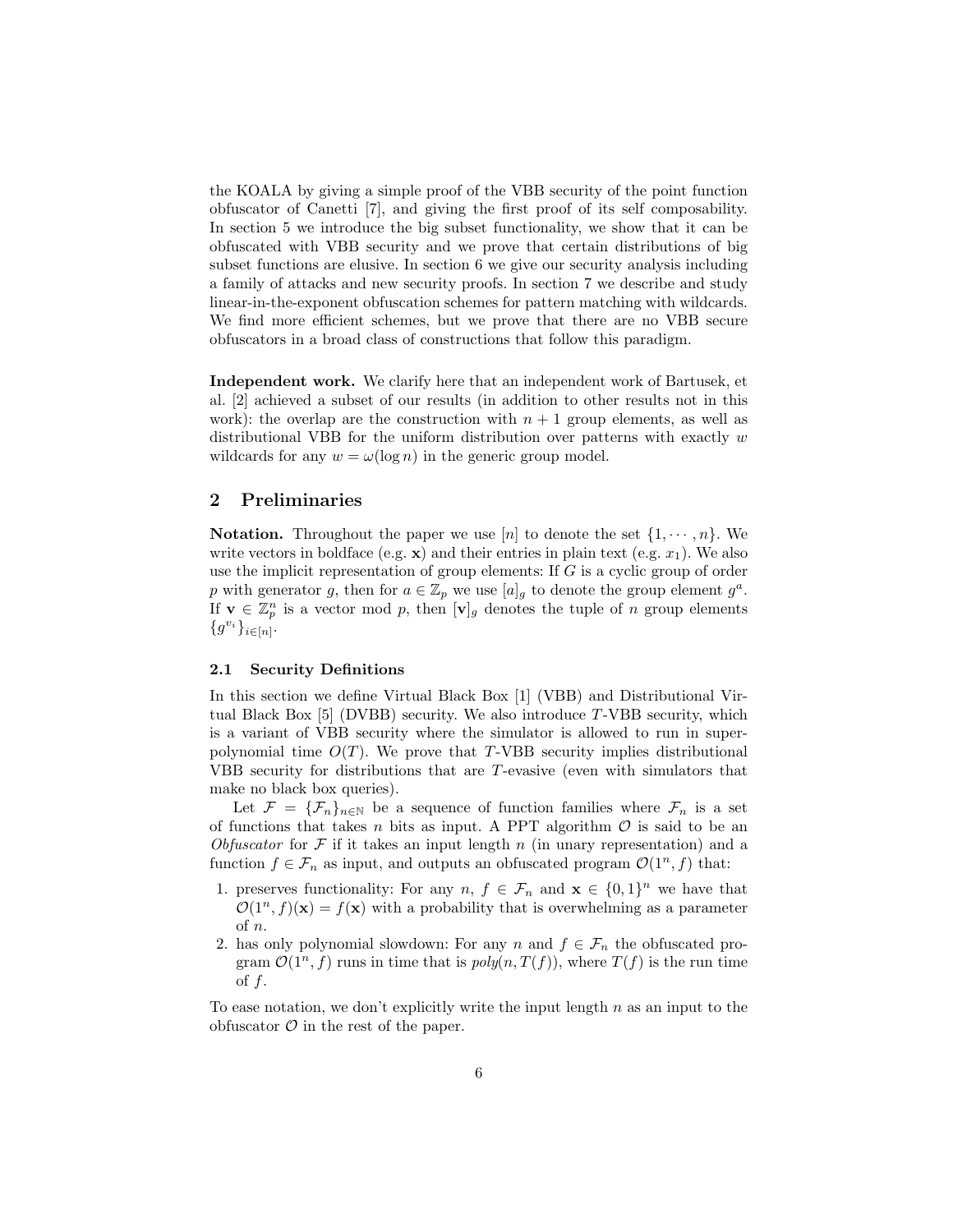the KOALA by giving a simple proof of the VBB security of the point function obfuscator of Canetti [7], and giving the first proof of its self composability. In section 5 we introduce the big subset functionality, we show that it can be obfuscated with VBB security and we prove that certain distributions of big subset functions are elusive. In section 6 we give our security analysis including a family of attacks and new security proofs. In section 7 we describe and study linear-in-the-exponent obfuscation schemes for pattern matching with wildcards. We find more efficient schemes, but we prove that there are no VBB secure obfuscators in a broad class of constructions that follow this paradigm.

Independent work. We clarify here that an independent work of Bartusek, et al. [2] achieved a subset of our results (in addition to other results not in this work): the overlap are the construction with  $n + 1$  group elements, as well as distributional VBB for the uniform distribution over patterns with exactly  $w$ wildcards for any  $w = \omega(\log n)$  in the generic group model.

# 2 Preliminaries

**Notation.** Throughout the paper we use [n] to denote the set  $\{1, \dots, n\}$ . We write vectors in boldface (e.g.  $\mathbf{x}$ ) and their entries in plain text (e.g.  $x_1$ ). We also use the implicit representation of group elements: If G is a cyclic group of order p with generator g, then for  $a \in \mathbb{Z}_p$  we use  $[a]_g$  to denote the group element  $g^a$ . If  $\mathbf{v} \in \mathbb{Z}_p^n$  is a vector mod p, then  $[\mathbf{v}]_g$  denotes the tuple of n group elements  $\{g^{v_i}\}_{{i \in [n]}}.$ 

#### 2.1 Security Definitions

In this section we define Virtual Black Box [1] (VBB) and Distributional Virtual Black Box  $[5]$  (DVBB) security. We also introduce T-VBB security, which is a variant of VBB security where the simulator is allowed to run in superpolynomial time  $O(T)$ . We prove that T-VBB security implies distributional VBB security for distributions that are T-evasive (even with simulators that make no black box queries).

Let  $\mathcal{F} = {\{\mathcal{F}_n\}}_{n\in\mathbb{N}}$  be a sequence of function families where  $\mathcal{F}_n$  is a set of functions that takes n bits as input. A PPT algorithm  $\mathcal O$  is said to be an Obfuscator for  $\mathcal F$  if it takes an input length n (in unary representation) and a function  $f \in \mathcal{F}_n$  as input, and outputs an obfuscated program  $\mathcal{O}(1^n, f)$  that:

- 1. preserves functionality: For any  $n, f \in \mathcal{F}_n$  and  $\mathbf{x} \in \{0,1\}^n$  we have that  $\mathcal{O}(1^n, f)(\mathbf{x}) = f(\mathbf{x})$  with a probability that is overwhelming as a parameter of n.
- 2. has only polynomial slowdown: For any n and  $f \in \mathcal{F}_n$  the obfuscated program  $\mathcal{O}(1^n, f)$  runs in time that is  $poly(n, T(f))$ , where  $T(f)$  is the run time of  $f$ .

To ease notation, we don't explicitly write the input length  $n$  as an input to the obfuscator  $\mathcal O$  in the rest of the paper.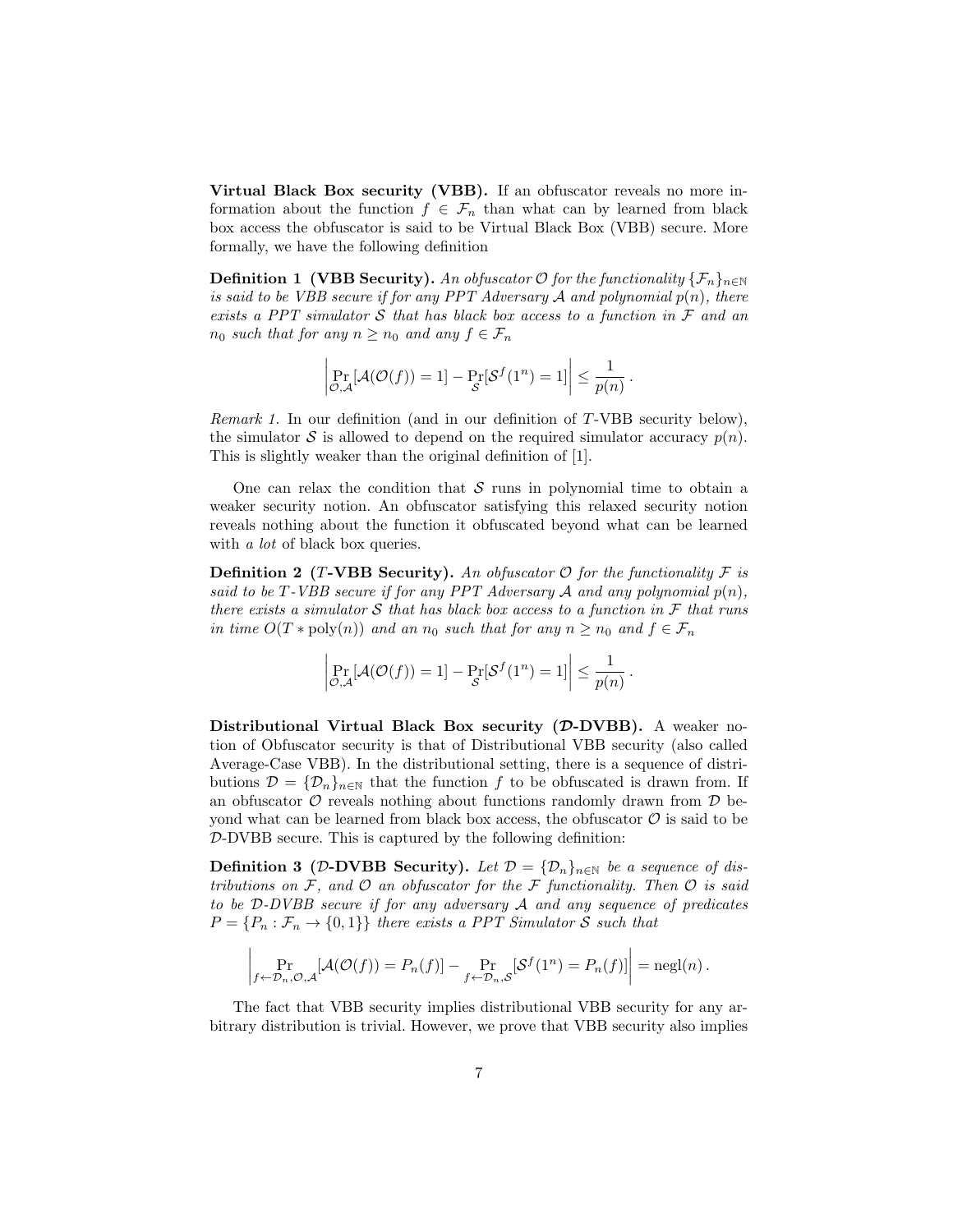Virtual Black Box security (VBB). If an obfuscator reveals no more information about the function  $f \in \mathcal{F}_n$  than what can by learned from black box access the obfuscator is said to be Virtual Black Box (VBB) secure. More formally, we have the following definition

**Definition 1 (VBB Security).** An obfuscator  $\mathcal{O}$  for the functionality  $\{\mathcal{F}_n\}_{n\in\mathbb{N}}$ is said to be VBB secure if for any PPT Adversary  $A$  and polynomial  $p(n)$ , there exists a PPT simulator S that has black box access to a function in  $\mathcal F$  and an  $n_0$  such that for any  $n \geq n_0$  and any  $f \in \mathcal{F}_n$ 

$$
\left|\Pr_{\mathcal{O},\mathcal{A}}[\mathcal{A}(\mathcal{O}(f)) = 1] - \Pr_{\mathcal{S}}[\mathcal{S}^f(1^n) = 1]\right| \le \frac{1}{p(n)}.
$$

Remark 1. In our definition (and in our definition of T-VBB security below), the simulator S is allowed to depend on the required simulator accuracy  $p(n)$ . This is slightly weaker than the original definition of [1].

One can relax the condition that  $\mathcal S$  runs in polynomial time to obtain a weaker security notion. An obfuscator satisfying this relaxed security notion reveals nothing about the function it obfuscated beyond what can be learned with *a lot* of black box queries.

**Definition 2 (T-VBB Security).** An obfuscator  $\mathcal{O}$  for the functionality  $\mathcal{F}$  is said to be T-VBB secure if for any PPT Adversary  $A$  and any polynomial  $p(n)$ , there exists a simulator S that has black box access to a function in  $\mathcal F$  that runs in time  $O(T * \text{poly}(n))$  and an  $n_0$  such that for any  $n \geq n_0$  and  $f \in \mathcal{F}_n$ 

$$
\left|\Pr_{\mathcal{O},\mathcal{A}}[\mathcal{A}(\mathcal{O}(f)) = 1] - \Pr_{\mathcal{S}}[\mathcal{S}^f(1^n) = 1]\right| \le \frac{1}{p(n)}.
$$

Distributional Virtual Black Box security  $(D-DVBB)$ . A weaker notion of Obfuscator security is that of Distributional VBB security (also called Average-Case VBB). In the distributional setting, there is a sequence of distributions  $\mathcal{D} = {\{\mathcal{D}_n\}}_{n\in\mathbb{N}}$  that the function f to be obfuscated is drawn from. If an obfuscator  $\mathcal O$  reveals nothing about functions randomly drawn from  $\mathcal D$  beyond what can be learned from black box access, the obfuscator  $\mathcal O$  is said to be D-DVBB secure. This is captured by the following definition:

Definition 3 (D-DVBB Security). Let  $\mathcal{D} = {\{\mathcal{D}_n\}}_{n \in \mathbb{N}}$  be a sequence of distributions on  $\mathcal F$ , and  $\mathcal O$  an obfuscator for the  $\mathcal F$  functionality. Then  $\mathcal O$  is said to be D-DVBB secure if for any adversary A and any sequence of predicates  $P = \{P_n : \mathcal{F}_n \to \{0,1\}\}\$  there exists a PPT Simulator S such that

$$
\left| \Pr_{f \leftarrow \mathcal{D}_n, \mathcal{O}, \mathcal{A}}[\mathcal{A}(\mathcal{O}(f)) = P_n(f)] - \Pr_{f \leftarrow \mathcal{D}_n, \mathcal{S}}[\mathcal{S}^f(1^n) = P_n(f)] \right| = \text{negl}(n).
$$

The fact that VBB security implies distributional VBB security for any arbitrary distribution is trivial. However, we prove that VBB security also implies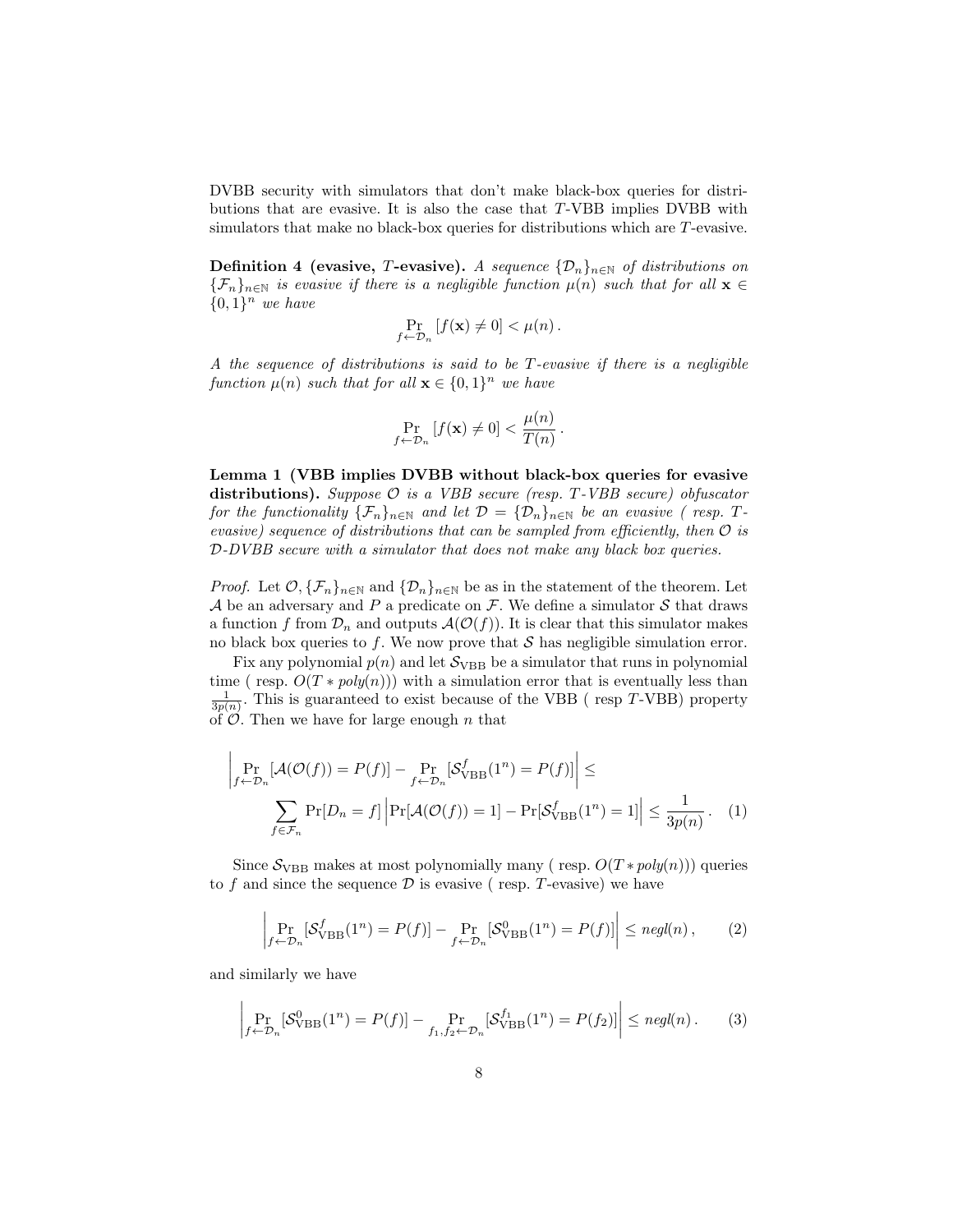DVBB security with simulators that don't make black-box queries for distributions that are evasive. It is also the case that T-VBB implies DVBB with simulators that make no black-box queries for distributions which are T-evasive.

**Definition 4 (evasive, T-evasive).** A sequence  $\{\mathcal{D}_n\}_{n\in\mathbb{N}}$  of distributions on  ${\{\mathcal{F}_n\}}_{n\in\mathbb{N}}$  is evasive if there is a negligible function  $\mu(n)$  such that for all  $\mathbf{x} \in \mathbb{R}$  $\{0,1\}^n$  we have

$$
\Pr_{f \leftarrow \mathcal{D}_n} \left[ f(\mathbf{x}) \neq 0 \right] < \mu(n) \, .
$$

A the sequence of distributions is said to be T-evasive if there is a negligible function  $\mu(n)$  such that for all  $\mathbf{x} \in \{0,1\}^n$  we have

$$
\Pr_{f \leftarrow \mathcal{D}_n} \left[ f(\mathbf{x}) \neq 0 \right] < \frac{\mu(n)}{T(n)} \, .
$$

Lemma 1 (VBB implies DVBB without black-box queries for evasive distributions). Suppose  $\mathcal O$  is a VBB secure (resp. T-VBB secure) obfuscator for the functionality  $\{\mathcal{F}_n\}_{n\in\mathbb{N}}$  and let  $\mathcal{D} = {\{\mathcal{D}_n\}}_{n\in\mathbb{N}}$  be an evasive (resp. Tevasive) sequence of distributions that can be sampled from efficiently, then  $\mathcal O$  is D-DVBB secure with a simulator that does not make any black box queries.

*Proof.* Let  $\mathcal{O}, \{\mathcal{F}_n\}_{n\in\mathbb{N}}$  and  $\{\mathcal{D}_n\}_{n\in\mathbb{N}}$  be as in the statement of the theorem. Let A be an adversary and P a predicate on F. We define a simulator S that draws a function f from  $\mathcal{D}_n$  and outputs  $\mathcal{A}(\mathcal{O}(f))$ . It is clear that this simulator makes no black box queries to f. We now prove that  $S$  has negligible simulation error.

Fix any polynomial  $p(n)$  and let  $S_{VBB}$  be a simulator that runs in polynomial time ( resp.  $O(T * poly(n))$ ) with a simulation error that is eventually less than  $\frac{1}{3p(n)}$ . This is guaranteed to exist because of the VBB (resp T-VBB) property of  $\mathcal{O}$ . Then we have for large enough n that

$$
\left| \Pr_{f \leftarrow \mathcal{D}_n}[\mathcal{A}(\mathcal{O}(f)) = P(f)] - \Pr_{f \leftarrow \mathcal{D}_n}[\mathcal{S}_{\mathrm{VBB}}^f(1^n) = P(f)] \right| \le
$$
\n
$$
\sum_{f \in \mathcal{F}_n} \Pr[D_n = f] \left| \Pr[\mathcal{A}(\mathcal{O}(f)) = 1] - \Pr[\mathcal{S}_{\mathrm{VBB}}^f(1^n) = 1] \right| \le \frac{1}{3p(n)}.
$$
\n(1)

Since  $S_{VBB}$  makes at most polynomially many (resp.  $O(T * poly(n))$ ) queries to f and since the sequence  $\mathcal D$  is evasive (resp. T-evasive) we have

$$
\left| \Pr_{f \leftarrow \mathcal{D}_n} [\mathcal{S}_{\text{VBB}}^f(1^n) = P(f)] - \Pr_{f \leftarrow \mathcal{D}_n} [\mathcal{S}_{\text{VBB}}^0(1^n) = P(f)] \right| \leq \text{negl}(n), \tag{2}
$$

and similarly we have

 $\mathbf{I}$ 

$$
\left| \Pr_{f \leftarrow \mathcal{D}_n} [\mathcal{S}_{\mathrm{VBB}}^0(1^n) = P(f)] - \Pr_{f_1, f_2 \leftarrow \mathcal{D}_n} [\mathcal{S}_{\mathrm{VBB}}^{f_1}(1^n) = P(f_2)] \right| \le \text{negl}(n). \tag{3}
$$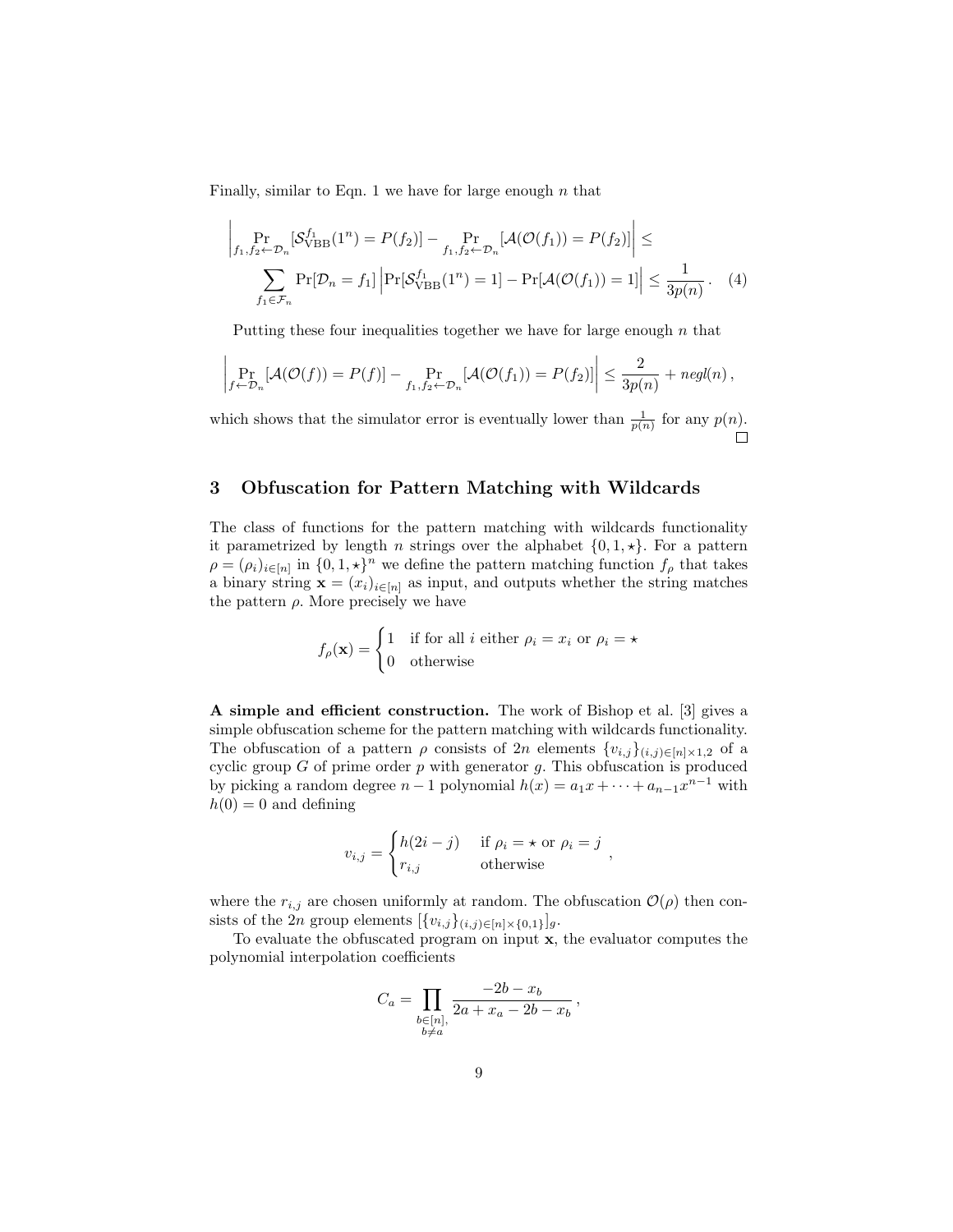Finally, similar to Eqn. 1 we have for large enough  $n$  that

$$
\left| \Pr_{f_1, f_2 \leftarrow \mathcal{D}_n} [\mathcal{S}_{\text{VBB}}^{f_1}(1^n) = P(f_2)] - \Pr_{f_1, f_2 \leftarrow \mathcal{D}_n} [\mathcal{A}(\mathcal{O}(f_1)) = P(f_2)] \right| \le
$$
\n
$$
\sum_{f_1 \in \mathcal{F}_n} \Pr[\mathcal{D}_n = f_1] \left| \Pr[\mathcal{S}_{\text{VBB}}^{f_1}(1^n) = 1] - \Pr[\mathcal{A}(\mathcal{O}(f_1)) = 1] \right| \le \frac{1}{3p(n)}.
$$
\n(4)

Putting these four inequalities together we have for large enough  $n$  that

$$
\left|\Pr_{f \leftarrow \mathcal{D}_n}[\mathcal{A}(\mathcal{O}(f)) = P(f)] - \Pr_{f_1, f_2 \leftarrow \mathcal{D}_n}[\mathcal{A}(\mathcal{O}(f_1)) = P(f_2)]\right| \le \frac{2}{3p(n)} + negl(n),
$$

which shows that the simulator error is eventually lower than  $\frac{1}{p(n)}$  for any  $p(n)$ . П

# 3 Obfuscation for Pattern Matching with Wildcards

The class of functions for the pattern matching with wildcards functionality it parametrized by length *n* strings over the alphabet  $\{0, 1, \star\}$ . For a pattern  $\rho = (\rho_i)_{i \in [n]}$  in  $\{0, 1, \star\}^n$  we define the pattern matching function  $f_\rho$  that takes a binary string  $\mathbf{x} = (x_i)_{i \in [n]}$  as input, and outputs whether the string matches the pattern  $\rho$ . More precisely we have

$$
f_{\rho}(\mathbf{x}) = \begin{cases} 1 & \text{if for all } i \text{ either } \rho_i = x_i \text{ or } \rho_i = \star \\ 0 & \text{otherwise} \end{cases}
$$

A simple and efficient construction. The work of Bishop et al. [3] gives a simple obfuscation scheme for the pattern matching with wildcards functionality. The obfuscation of a pattern  $\rho$  consists of 2n elements  $\{v_{i,j}\}_{(i,j)\in[n]\times1,2}$  of a cyclic group  $G$  of prime order  $p$  with generator  $g$ . This obfuscation is produced by picking a random degree  $n-1$  polynomial  $h(x) = a_1x + \cdots + a_{n-1}x^{n-1}$  with  $h(0) = 0$  and defining

$$
v_{i,j} = \begin{cases} h(2i - j) & \text{if } \rho_i = \star \text{ or } \rho_i = j \\ r_{i,j} & \text{otherwise} \end{cases}
$$

where the  $r_{i,j}$  are chosen uniformly at random. The obfuscation  $\mathcal{O}(\rho)$  then consists of the 2n group elements  $[\{v_{i,j}\}_{(i,j)\in[n]\times\{0,1\}}]_g$ .

To evaluate the obfuscated program on input x, the evaluator computes the polynomial interpolation coefficients

$$
C_a = \prod_{\substack{b \in [n], \\ b \neq a}} \frac{-2b - x_b}{2a + x_a - 2b - x_b},
$$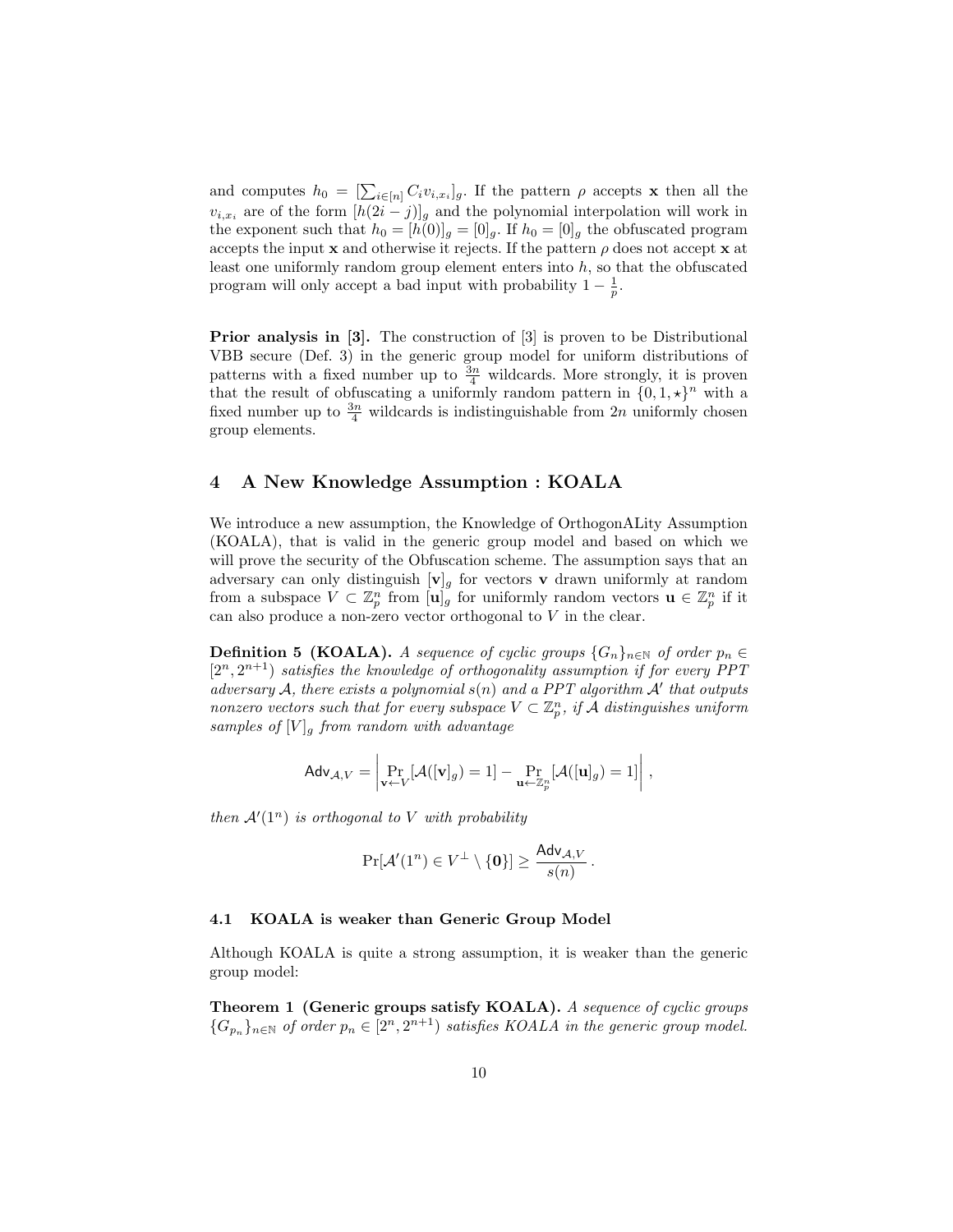and computes  $h_0 = \left[\sum_{i \in [n]} C_i v_{i,x_i}\right]_g$ . If the pattern  $\rho$  accepts **x** then all the  $v_{i,x_i}$  are of the form  $[h(2i-j)]_q$  and the polynomial interpolation will work in the exponent such that  $h_0 = [h(0)]_g = [0]_g$ . If  $h_0 = [0]_g$  the obfuscated program accepts the input  $x$  and otherwise it rejects. If the pattern  $\rho$  does not accept  $x$  at least one uniformly random group element enters into  $h$ , so that the obfuscated program will only accept a bad input with probability  $1 - \frac{1}{p}$ .

Prior analysis in [3]. The construction of [3] is proven to be Distributional VBB secure (Def. 3) in the generic group model for uniform distributions of patterns with a fixed number up to  $\frac{3n}{4}$  wildcards. More strongly, it is proven that the result of obfuscating a uniformly random pattern in  $\{0, 1, \star\}^n$  with a fixed number up to  $\frac{3n}{4}$  wildcards is indistinguishable from  $2n$  uniformly chosen group elements.

# 4 A New Knowledge Assumption : KOALA

We introduce a new assumption, the Knowledge of OrthogonALity Assumption (KOALA), that is valid in the generic group model and based on which we will prove the security of the Obfuscation scheme. The assumption says that an adversary can only distinguish  $[v]_g$  for vectors **v** drawn uniformly at random from a subspace  $V \subset \mathbb{Z}_p^n$  from  $[\mathbf{u}]_g$  for uniformly random vectors  $\mathbf{u} \in \mathbb{Z}_p^n$  if it can also produce a non-zero vector orthogonal to  $V$  in the clear.

**Definition 5 (KOALA).** A sequence of cyclic groups  $\{G_n\}_{n\in\mathbb{N}}$  of order  $p_n \in$  $[2<sup>n</sup>, 2<sup>n+1</sup>)$  satisfies the knowledge of orthogonality assumption if for every PPT adversary A, there exists a polynomial  $s(n)$  and a PPT algorithm A' that outputs nonzero vectors such that for every subspace  $V \subset \mathbb{Z}_p^n$ , if  $\tilde{\mathcal{A}}$  distinguishes uniform samples of  $[V]_q$  from random with advantage

$$
\mathsf{Adv}_{\mathcal{A},V} = \left| \Pr_{\mathbf{v} \leftarrow V}[\mathcal{A}([\mathbf{v}]_g) = 1] - \Pr_{\mathbf{u} \leftarrow \mathbb{Z}_p^n}[\mathcal{A}([\mathbf{u}]_g) = 1] \right|,
$$

then  $\mathcal{A}'(1^n)$  is orthogonal to V with probability

$$
\Pr[\mathcal{A}'(1^n) \in V^{\perp} \setminus \{\mathbf{0}\}] \geq \frac{\mathsf{Adv}_{\mathcal{A},V}}{s(n)}\,.
$$

#### 4.1 KOALA is weaker than Generic Group Model

Although KOALA is quite a strong assumption, it is weaker than the generic group model:

Theorem 1 (Generic groups satisfy KOALA). A sequence of cyclic groups  ${G_{p_n}}_{n \in \mathbb{N}}$  of order  $p_n \in [2^n, 2^{n+1})$  satisfies KOALA in the generic group model.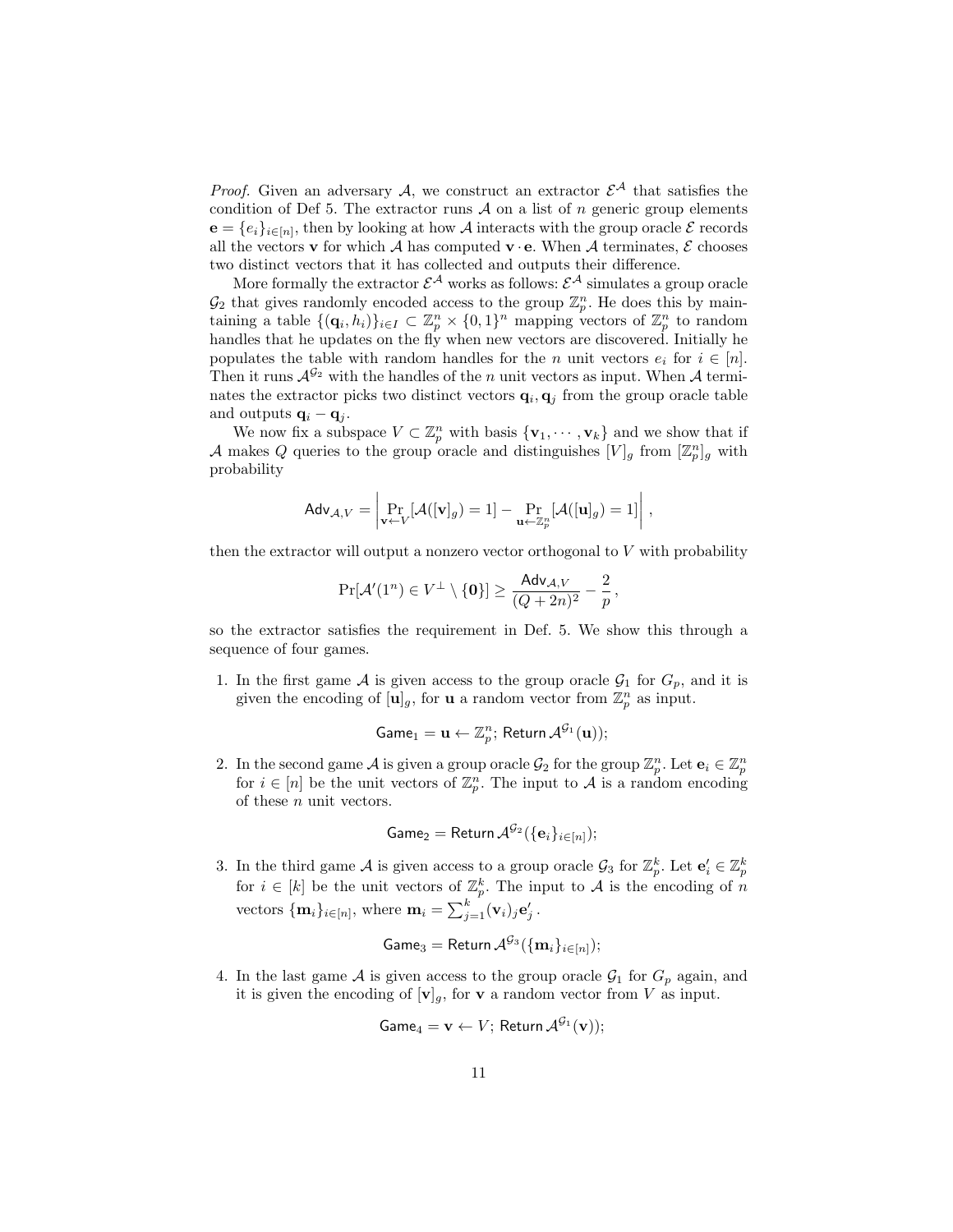*Proof.* Given an adversary A, we construct an extractor  $\mathcal{E}^{\mathcal{A}}$  that satisfies the condition of Def 5. The extractor runs  $A$  on a list of n generic group elements  $e = \{e_i\}_{i \in [n]}$ , then by looking at how A interacts with the group oracle  $\mathcal E$  records all the vectors **v** for which A has computed **v**  $\cdot$  **e**. When A terminates,  $\mathcal{E}$  chooses two distinct vectors that it has collected and outputs their difference.

More formally the extractor  $\mathcal{E}^{\mathcal{A}}$  works as follows:  $\mathcal{E}^{\mathcal{A}}$  simulates a group oracle  $\mathcal{G}_2$  that gives randomly encoded access to the group  $\mathbb{Z}_p^n$ . He does this by maintaining a table  $\{(\mathbf{q}_i, h_i)\}_{i \in I} \subset \mathbb{Z}_p^n \times \{0,1\}^n$  mapping vectors of  $\mathbb{Z}_p^n$  to random handles that he updates on the fly when new vectors are discovered. Initially he populates the table with random handles for the n unit vectors  $e_i$  for  $i \in [n]$ . Then it runs  $\mathcal{A}^{G_2}$  with the handles of the n unit vectors as input. When A terminates the extractor picks two distinct vectors  $\mathbf{q}_i, \mathbf{q}_j$  from the group oracle table and outputs  $\mathbf{q}_i - \mathbf{q}_j$ .

We now fix a subspace  $V \subset \mathbb{Z}_p^n$  with basis  $\{v_1, \dots, v_k\}$  and we show that if A makes Q queries to the group oracle and distinguishes  $[V]_g$  from  $[\mathbb{Z}_p^n]_g$  with probability

$$
\mathsf{Adv}_{\mathcal{A},V} = \left| \Pr_{\mathbf{v} \leftarrow V}[\mathcal{A}([\mathbf{v}]_g) = 1] - \Pr_{\mathbf{u} \leftarrow \mathbb{Z}_p^n}[\mathcal{A}([\mathbf{u}]_g) = 1] \right|,
$$

then the extractor will output a nonzero vector orthogonal to  $V$  with probability

$$
\Pr[\mathcal{A}'(1^n) \in V^{\perp} \setminus \{\mathbf{0}\}] \geq \frac{\mathsf{Adv}_{\mathcal{A},V}}{(Q+2n)^2} - \frac{2}{p},
$$

so the extractor satisfies the requirement in Def. 5. We show this through a sequence of four games.

1. In the first game  $A$  is given access to the group oracle  $\mathcal{G}_1$  for  $G_p$ , and it is given the encoding of  $[\mathbf{u}]_g$ , for **u** a random vector from  $\mathbb{Z}_p^n$  as input.

$$
\mathsf{Game}_1 = \mathbf{u} \leftarrow \mathbb{Z}_p^n; \, \mathsf{Return}\, \mathcal{A}^{\mathcal{G}_1}(\mathbf{u}));
$$

2. In the second game A is given a group oracle  $\mathcal{G}_2$  for the group  $\mathbb{Z}_p^n$ . Let  $\mathbf{e}_i \in \mathbb{Z}_p^n$ for  $i \in [n]$  be the unit vectors of  $\mathbb{Z}_p^n$ . The input to A is a random encoding of these n unit vectors.

$$
\mathsf{Game}_2 = \mathsf{Return} \, \mathcal{A}^{\mathcal{G}_2}(\{\mathbf{e}_i\}_{i \in [n]});
$$

3. In the third game A is given access to a group oracle  $\mathcal{G}_3$  for  $\mathbb{Z}_p^k$ . Let  $\mathbf{e}'_i \in \mathbb{Z}_p^k$ for  $i \in [k]$  be the unit vectors of  $\mathbb{Z}_p^k$ . The input to A is the encoding of n vectors  $\{\mathbf{m}_i\}_{i\in[n]}$ , where  $\mathbf{m}_i = \sum_{j=1}^k (\mathbf{v}_i)_j \mathbf{e}'_j$ .

$$
\mathsf{Game}_3 = \mathsf{Return}\, \mathcal{A}^{\mathcal{G}_3}(\{\mathbf{m}_i\}_{i \in [n]});
$$

4. In the last game A is given access to the group oracle  $\mathcal{G}_1$  for  $G_p$  again, and it is given the encoding of  $[v]_g$ , for **v** a random vector from *V* as input.

$$
\mathsf{Game}_4 = \mathbf{v} \leftarrow V; \, \mathsf{Return} \, \mathcal{A}^{\mathcal{G}_1}(\mathbf{v}));
$$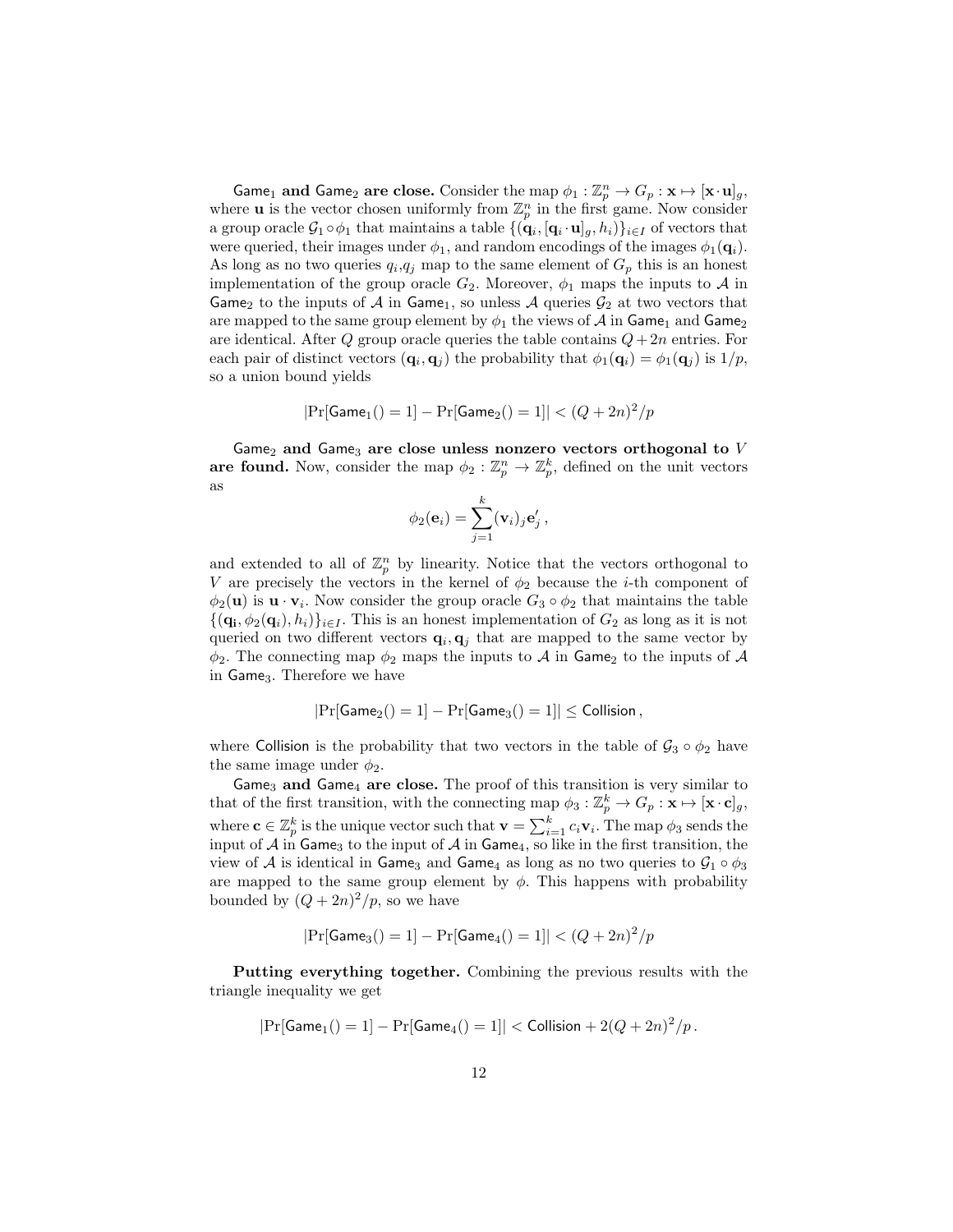Game<sub>1</sub> and Game<sub>2</sub> are close. Consider the map  $\phi_1 : \mathbb{Z}_p^n \to G_p : \mathbf{x} \mapsto [\mathbf{x} \cdot \mathbf{u}]_g$ , where **u** is the vector chosen uniformly from  $\mathbb{Z}_p^n$  in the first game. Now consider a group oracle  $G_1 \circ \phi_1$  that maintains a table  $\{(\mathbf{q}_i, [\mathbf{q}_i \cdot \mathbf{u}]_g, h_i)\}_{i \in I}$  of vectors that were queried, their images under  $\phi_1$ , and random encodings of the images  $\phi_1(\mathbf{q}_i)$ . As long as no two queries  $q_i, q_j$  map to the same element of  $G_p$  this is an honest implementation of the group oracle  $G_2$ . Moreover,  $\phi_1$  maps the inputs to A in Game<sub>2</sub> to the inputs of A in Game<sub>1</sub>, so unless A queries  $\mathcal{G}_2$  at two vectors that are mapped to the same group element by  $\phi_1$  the views of A in Game<sub>1</sub> and Game<sub>2</sub> are identical. After Q group oracle queries the table contains  $Q+2n$  entries. For each pair of distinct vectors  $(\mathbf{q}_i, \mathbf{q}_j)$  the probability that  $\phi_1(\mathbf{q}_i) = \phi_1(\mathbf{q}_j)$  is  $1/p$ , so a union bound yields

$$
|\Pr[\mathsf{Game}_1() = 1] - \Pr[\mathsf{Game}_2() = 1]| < (Q + 2n)^2/p
$$

Game<sub>2</sub> and Game<sub>3</sub> are close unless nonzero vectors orthogonal to  $V$ are found. Now, consider the map  $\phi_2 : \mathbb{Z}_p^n \to \mathbb{Z}_p^k$ , defined on the unit vectors as

$$
\phi_2(\mathbf{e}_i) = \sum_{j=1}^k (\mathbf{v}_i)_j \mathbf{e}'_j,
$$

and extended to all of  $\mathbb{Z}_p^n$  by linearity. Notice that the vectors orthogonal to V are precisely the vectors in the kernel of  $\phi_2$  because the *i*-th component of  $\phi_2(\mathbf{u})$  is  $\mathbf{u} \cdot \mathbf{v}_i$ . Now consider the group oracle  $G_3 \circ \phi_2$  that maintains the table  $\{(\mathbf{q_i}, \phi_2(\mathbf{q}_i), h_i)\}_{i \in I}$ . This is an honest implementation of  $G_2$  as long as it is not queried on two different vectors  $\mathbf{q}_i, \mathbf{q}_j$  that are mapped to the same vector by  $\phi_2$ . The connecting map  $\phi_2$  maps the inputs to A in Game<sub>2</sub> to the inputs of A in Game<sub>3</sub>. Therefore we have

$$
|\mathrm{Pr}[\mathsf{Game}_2() = 1] - \mathrm{Pr}[\mathsf{Game}_3() = 1]| \le \mathsf{Collision}\,,
$$

where Collision is the probability that two vectors in the table of  $\mathcal{G}_3 \circ \phi_2$  have the same image under  $\phi_2$ .

Game<sub>3</sub> and Game<sub>4</sub> are close. The proof of this transition is very similar to that of the first transition, with the connecting map  $\phi_3 : \mathbb{Z}_p^k \to G_p : \mathbf{x} \mapsto [\mathbf{x} \cdot \mathbf{c}]_g$ , where  $\mathbf{c} \in \mathbb{Z}_p^k$  is the unique vector such that  $\mathbf{v} = \sum_{i=1}^k c_i \mathbf{v}_i$ . The map  $\phi_3$  sends the input of  $A$  in Game<sub>3</sub> to the input of  $A$  in Game<sub>4</sub>, so like in the first transition, the view of A is identical in Game<sub>3</sub> and Game<sub>4</sub> as long as no two queries to  $\mathcal{G}_1 \circ \phi_3$ are mapped to the same group element by  $\phi$ . This happens with probability bounded by  $(Q + 2n)^2/p$ , so we have

$$
|\Pr[\text{Game}_3() = 1] - \Pr[\text{Game}_4() = 1]| < (Q + 2n)^2/p
$$

Putting everything together. Combining the previous results with the triangle inequality we get

$$
Pr[Game_1() = 1] - Pr[Game_4() = 1]|
$$
 < Collision + 2( $Q + 2n$ )<sup>2</sup>/ $p$ .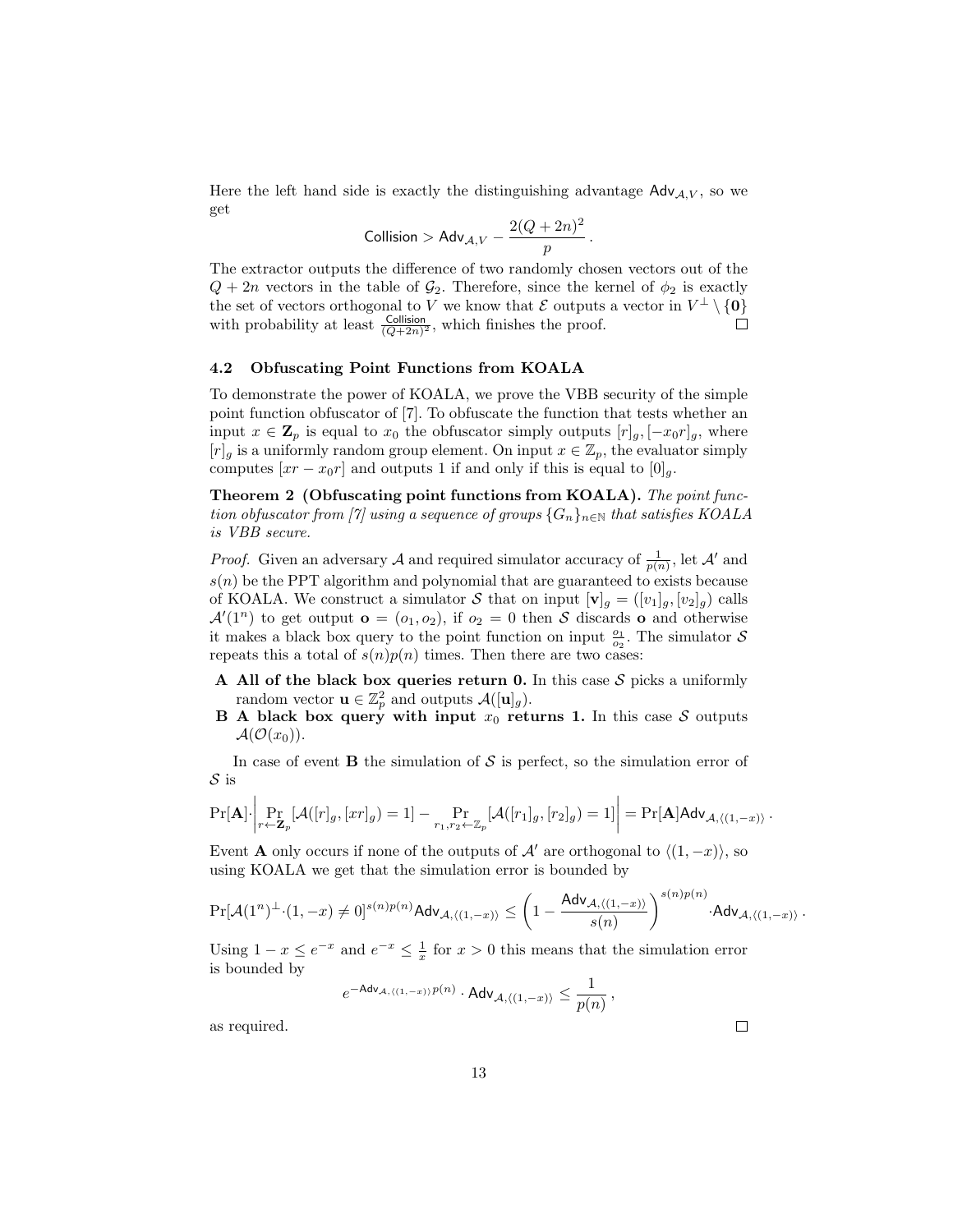Here the left hand side is exactly the distinguishing advantage  $\mathsf{Adv}_{A,V}$ , so we get

$$
\text{Collision} > \mathsf{Adv}_{\mathcal{A},V} - \frac{2(Q+2n)^2}{p}\,.
$$

The extractor outputs the difference of two randomly chosen vectors out of the  $Q + 2n$  vectors in the table of  $\mathcal{G}_2$ . Therefore, since the kernel of  $\phi_2$  is exactly the set of vectors orthogonal to V we know that  $\mathcal E$  outputs a vector in  $V^{\perp} \setminus \{0\}$ with probability at least  $\frac{\text{Collision}}{(Q+2n)^2}$ , which finishes the proof.  $\Box$ 

#### 4.2 Obfuscating Point Functions from KOALA

To demonstrate the power of KOALA, we prove the VBB security of the simple point function obfuscator of [7]. To obfuscate the function that tests whether an input  $x \in \mathbf{Z}_p$  is equal to  $x_0$  the obfuscator simply outputs  $[r]_g, [-x_0r]_g$ , where  $[r]_g$  is a uniformly random group element. On input  $x \in \mathbb{Z}_p$ , the evaluator simply computes  $[xr - x_0r]$  and outputs 1 if and only if this is equal to  $[0]_q$ .

Theorem 2 (Obfuscating point functions from KOALA). The point function obfuscator from [7] using a sequence of groups  ${G_n}_{n\in\mathbb{N}}$  that satisfies KOALA is VBB secure.

*Proof.* Given an adversary A and required simulator accuracy of  $\frac{1}{p(n)}$ , let A' and  $s(n)$  be the PPT algorithm and polynomial that are guaranteed to exists because of KOALA. We construct a simulator S that on input  $[\mathbf{v}]_g = ([v_1]_g, [v_2]_g)$  calls  $\mathcal{A}'(1^n)$  to get output  $\mathbf{o} = (o_1, o_2)$ , if  $o_2 = 0$  then S discards o and otherwise it makes a black box query to the point function on input  $\frac{\sigma_1}{\sigma_2}$ . The simulator S repeats this a total of  $s(n)p(n)$  times. Then there are two cases:

- A All of the black box queries return 0. In this case  $S$  picks a uniformly random vector  $\mathbf{u} \in \mathbb{Z}_p^2$  and outputs  $\mathcal{A}([\mathbf{u}]_g)$ .
- **B** A black box query with input  $x_0$  returns 1. In this case S outputs  $\mathcal{A}(\mathcal{O}(x_0)).$

In case of event **B** the simulation of  $S$  is perfect, so the simulation error of S is

$$
\Pr[\mathbf{A}]\cdot \left|\Pr_{r\leftarrow \mathbf{Z}_p}[\mathcal{A}([r]_g,[xr]_g)=1]-\Pr_{r_1,r_2\leftarrow \mathbb{Z}_p}[\mathcal{A}([r_1]_g,[r_2]_g)=1]\right|\right|=\Pr[\mathbf{A}]\mathsf{Adv}_{\mathcal{A},\langle(1,-x)\rangle}.
$$

Event **A** only occurs if none of the outputs of  $\mathcal{A}'$  are orthogonal to  $\langle (1, -x) \rangle$ , so using KOALA we get that the simulation error is bounded by

$$
\Pr[\mathcal{A}(1^n)^\perp \cdot (1,-x) \neq 0]^{s(n)p(n)} \mathsf{Adv}_{\mathcal{A},\langle (1,-x) \rangle} \leq \left(1-\frac{\mathsf{Adv}_{\mathcal{A},\langle (1,-x) \rangle}}{s(n)}\right)^{s(n)p(n)} \cdot \mathsf{Adv}_{\mathcal{A},\langle (1,-x) \rangle}\,.
$$

Using  $1 - x \le e^{-x}$  and  $e^{-x} \le \frac{1}{x}$  for  $x > 0$  this means that the simulation error is bounded by

$$
e^{-\mathsf{Adv}_{\mathcal{A}, \langle (1, -x) \rangle} p(n)} \cdot \mathsf{Adv}_{\mathcal{A}, \langle (1, -x) \rangle} \leq \frac{1}{p(n)} \, ,
$$

as required.

 $\Box$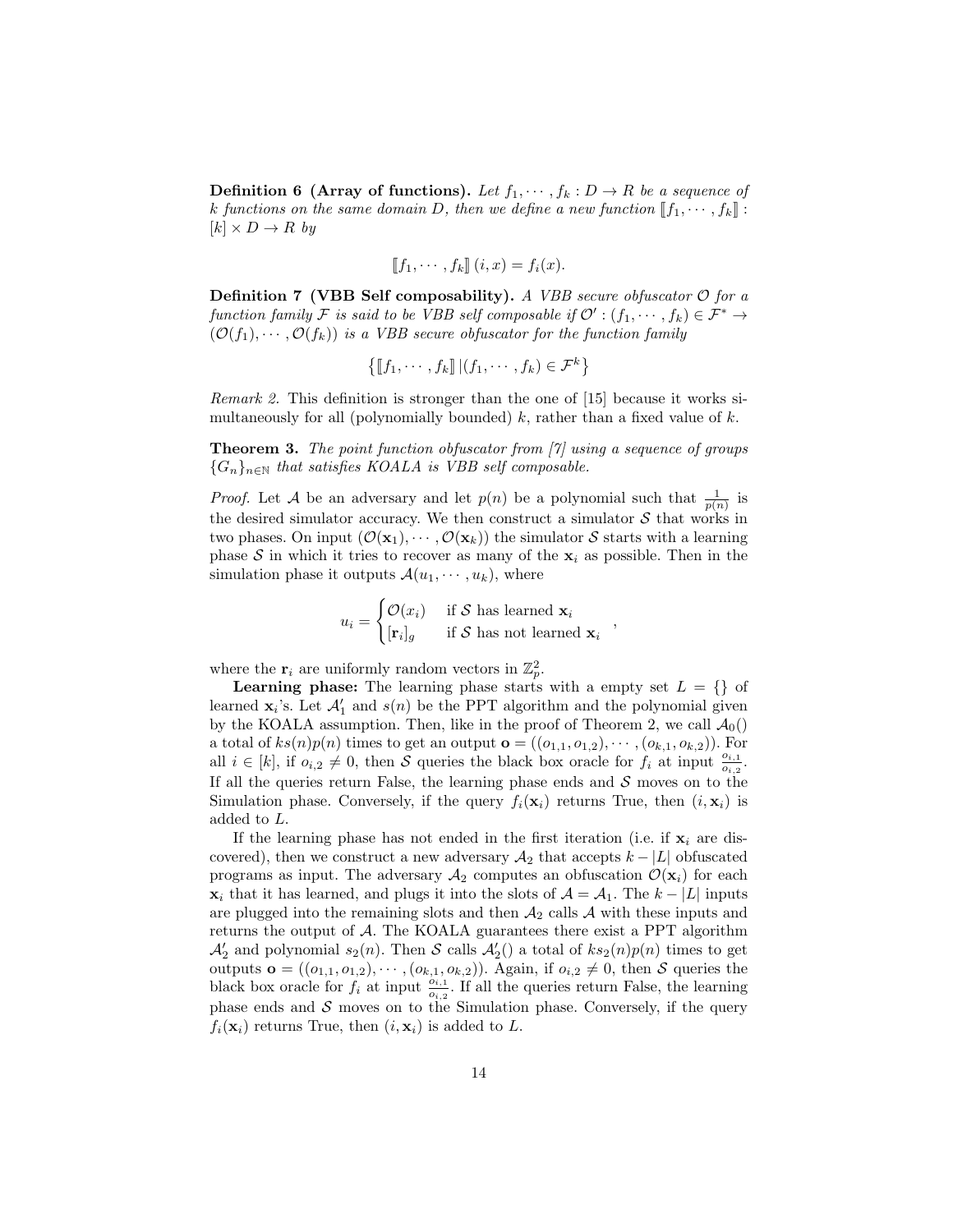**Definition 6 (Array of functions).** Let  $f_1, \dots, f_k : D \to R$  be a sequence of k functions on the same domain D, then we define a new function  $[\![f_1, \dots, f_k]\!]$ :  $[k] \times D \rightarrow R$  by

$$
\llbracket f_1, \cdots, f_k \rrbracket \ (i, x) = f_i(x).
$$

**Definition 7 (VBB Self composability).** A VBB secure obfuscator  $\mathcal{O}$  for a function family F is said to be VBB self composable if  $\mathcal{O}' : (f_1, \dots, f_k) \in \mathcal{F}^* \to$  $(\mathcal{O}(f_1),\cdots,\mathcal{O}(f_k))$  is a VBB secure obfuscator for the function family

$$
\left\{ [f_1, \cdots, f_k] \, | (f_1, \cdots, f_k) \in \mathcal{F}^k \right\}
$$

Remark 2. This definition is stronger than the one of [15] because it works simultaneously for all (polynomially bounded)  $k$ , rather than a fixed value of  $k$ .

**Theorem 3.** The point function obfuscator from  $\begin{bmatrix} \gamma \\ \gamma \end{bmatrix}$  using a sequence of groups  ${G_n}_{n \in \mathbb{N}}$  that satisfies KOALA is VBB self composable.

*Proof.* Let A be an adversary and let  $p(n)$  be a polynomial such that  $\frac{1}{p(n)}$  is the desired simulator accuracy. We then construct a simulator  $S$  that works in two phases. On input  $(\mathcal{O}(\mathbf{x}_1), \cdots, \mathcal{O}(\mathbf{x}_k))$  the simulator S starts with a learning phase S in which it tries to recover as many of the  $x_i$  as possible. Then in the simulation phase it outputs  $\mathcal{A}(u_1, \dots, u_k)$ , where

$$
u_i = \begin{cases} \mathcal{O}(x_i) & \text{if } \mathcal{S} \text{ has learned } \mathbf{x}_i \\ [\mathbf{r}_i]_g & \text{if } \mathcal{S} \text{ has not learned } \mathbf{x}_i \end{cases}
$$

,

where the  $\mathbf{r}_i$  are uniformly random vectors in  $\mathbb{Z}_p^2$ .

**Learning phase:** The learning phase starts with a empty set  $L = \{\}\$  of learned  $\mathbf{x}_i$ 's. Let  $\mathcal{A}'_1$  and  $s(n)$  be the PPT algorithm and the polynomial given by the KOALA assumption. Then, like in the proof of Theorem 2, we call  $\mathcal{A}_0()$ a total of  $ks(n)p(n)$  times to get an output  $\mathbf{o} = ((o_{1,1}, o_{1,2}), \cdots, (o_{k,1}, o_{k,2}))$ . For all  $i \in [k]$ , if  $o_{i,2} \neq 0$ , then S queries the black box oracle for  $f_i$  at input  $\frac{o_{i,1}}{o_{i,2}}$ . If all the queries return False, the learning phase ends and  $S$  moves on to the Simulation phase. Conversely, if the query  $f_i(\mathbf{x}_i)$  returns True, then  $(i, \mathbf{x}_i)$  is added to L.

If the learning phase has not ended in the first iteration (i.e. if  $x_i$  are discovered), then we construct a new adversary  $A_2$  that accepts  $k - |L|$  obfuscated programs as input. The adversary  $A_2$  computes an obfuscation  $\mathcal{O}(\mathbf{x}_i)$  for each  $\mathbf{x}_i$  that it has learned, and plugs it into the slots of  $\mathcal{A} = \mathcal{A}_1$ . The  $k - |L|$  inputs are plugged into the remaining slots and then  $A_2$  calls  $A$  with these inputs and returns the output of A. The KOALA guarantees there exist a PPT algorithm  $\mathcal{A}'_2$  and polynomial  $s_2(n)$ . Then  $\mathcal S$  calls  $\mathcal{A}'_2()$  a total of  $k s_2(n) p(n)$  times to get outputs  $\mathbf{o} = ((o_{1,1}, o_{1,2}), \cdots, (o_{k,1}, o_{k,2}))$ . Again, if  $o_{i,2} \neq 0$ , then S queries the black box oracle for  $f_i$  at input  $\frac{\partial i}{\partial i,2}$ . If all the queries return False, the learning phase ends and  $S$  moves on to the Simulation phase. Conversely, if the query  $f_i(\mathbf{x}_i)$  returns True, then  $(i, \mathbf{x}_i)$  is added to L.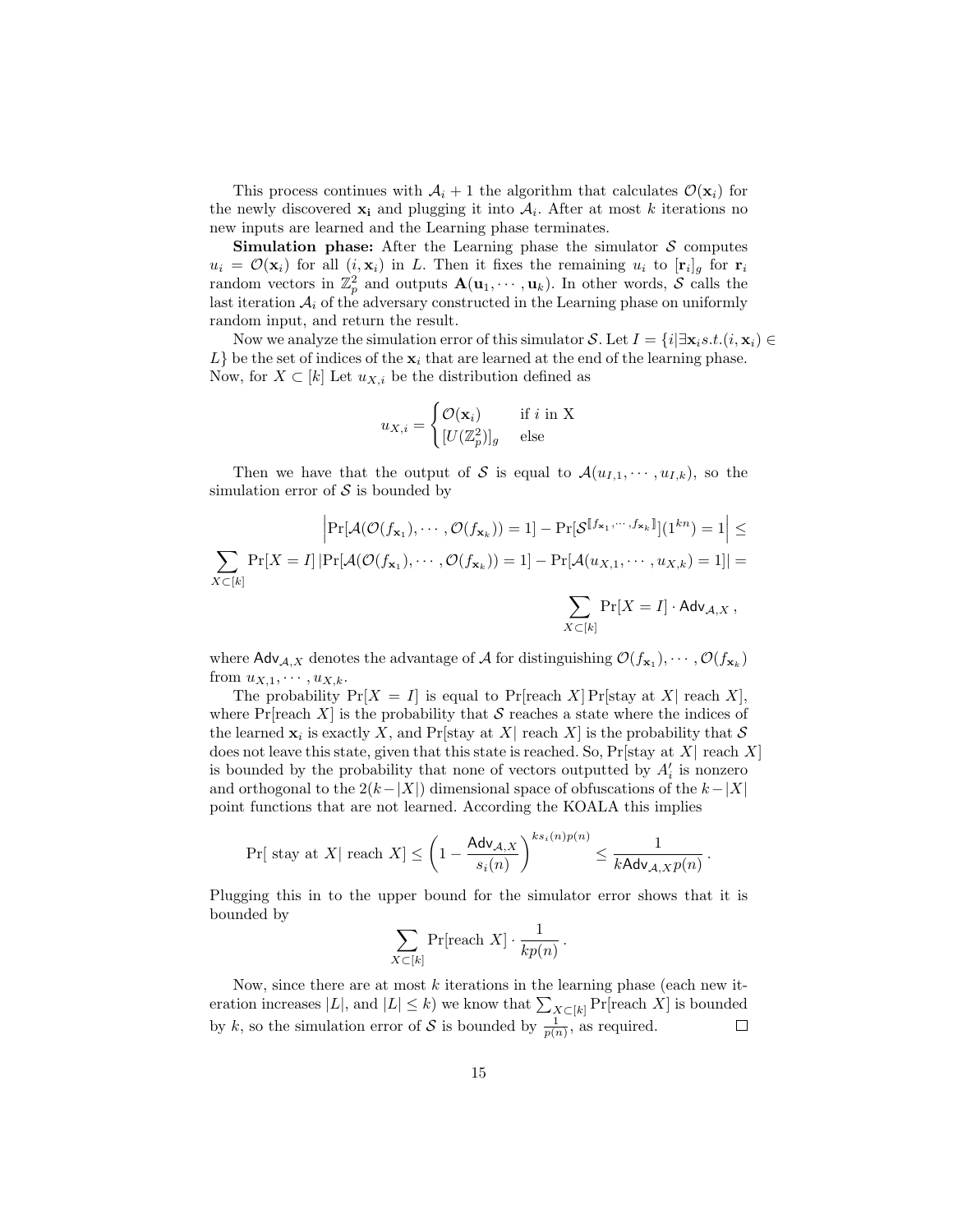This process continues with  $A_i + 1$  the algorithm that calculates  $\mathcal{O}(\mathbf{x}_i)$  for the newly discovered  $\mathbf{x}_i$  and plugging it into  $A_i$ . After at most k iterations no new inputs are learned and the Learning phase terminates.

**Simulation phase:** After the Learning phase the simulator  $S$  computes  $u_i = \mathcal{O}(\mathbf{x}_i)$  for all  $(i, \mathbf{x}_i)$  in L. Then it fixes the remaining  $u_i$  to  $[\mathbf{r}_i]_g$  for  $\mathbf{r}_i$ random vectors in  $\mathbb{Z}_p^2$  and outputs  $\mathbf{A}(\mathbf{u}_1,\cdots,\mathbf{u}_k)$ . In other words, S calls the last iteration  $A_i$  of the adversary constructed in the Learning phase on uniformly random input, and return the result.

Now we analyze the simulation error of this simulator S. Let  $I = \{i | \exists \mathbf{x}_i s.t. (i, \mathbf{x}_i) \in$  $L$ } be the set of indices of the  $x_i$  that are learned at the end of the learning phase. Now, for  $X \subset [k]$  Let  $u_{X,i}$  be the distribution defined as

$$
u_{X,i} = \begin{cases} \mathcal{O}(\mathbf{x}_i) & \text{if } i \text{ in X} \\ [U(\mathbb{Z}_p^2)]_g & \text{else} \end{cases}
$$

Then we have that the output of S is equal to  $\mathcal{A}(u_{I,1},\dots, u_{I,k})$ , so the simulation error of  $S$  is bounded by

$$
\left| \Pr[\mathcal{A}(\mathcal{O}(f_{\mathbf{x}_1}), \cdots, \mathcal{O}(f_{\mathbf{x}_k})) = 1] - \Pr[\mathcal{S}^{\llbracket f_{\mathbf{x}_1}, \cdots, f_{\mathbf{x}_k} \rrbracket}](1^{kn}) = 1 \right| \le
$$
  

$$
\sum_{X \subset [k]} \Pr[X = I] \left| \Pr[\mathcal{A}(\mathcal{O}(f_{\mathbf{x}_1}), \cdots, \mathcal{O}(f_{\mathbf{x}_k})) = 1] - \Pr[\mathcal{A}(u_{X,1}, \cdots, u_{X,k}) = 1] \right| =
$$
  

$$
\sum \Pr[X = I] \cdot \text{Adv}_{\mathcal{A}, X},
$$

where  $\mathsf{Adv}_{\mathcal{A},X}$  denotes the advantage of  $\mathcal{A}$  for distinguishing  $\mathcal{O}(f_{\mathbf{x}_1}), \cdots, \mathcal{O}(f_{\mathbf{x}_k})$ from  $u_{X,1}, \cdots, u_{X,k}$ .

 $X\mathbb{C}[k]$ 

The probability  $Pr[X = I]$  is equal to  $Pr[reach X] Pr[stay at X] reach X$ , where Pr[reach X] is the probability that S reaches a state where the indices of the learned  $\mathbf{x}_i$  is exactly X, and Pr[stay at X| reach X] is the probability that S does not leave this state, given that this state is reached. So,  $Pr[$ stay at X $|$  reach X $|$ is bounded by the probability that none of vectors outputted by  $A'_i$  is nonzero and orthogonal to the  $2(k-|X|)$  dimensional space of obfuscations of the  $k-|X|$ point functions that are not learned. According the KOALA this implies

$$
\Pr[\text{ stay at } X \mid \text{reach } X] \le \left(1 - \frac{\mathsf{Adv}_{\mathcal{A},X}}{s_i(n)}\right)^{ks_i(n)p(n)} \le \frac{1}{k\mathsf{Adv}_{\mathcal{A},X}p(n)}.
$$

Plugging this in to the upper bound for the simulator error shows that it is bounded by

$$
\sum_{X \subset [k]} \Pr[\text{reach } X] \cdot \frac{1}{kp(n)}.
$$

Now, since there are at most  $k$  iterations in the learning phase (each new iteration increases  $|L|$ , and  $|L| \leq k$ ) we know that  $\sum_{X \subset [k]} \Pr[\text{reach } X]$  is bounded by k, so the simulation error of S is bounded by  $\frac{1}{p(n)}$ , as required.  $\Box$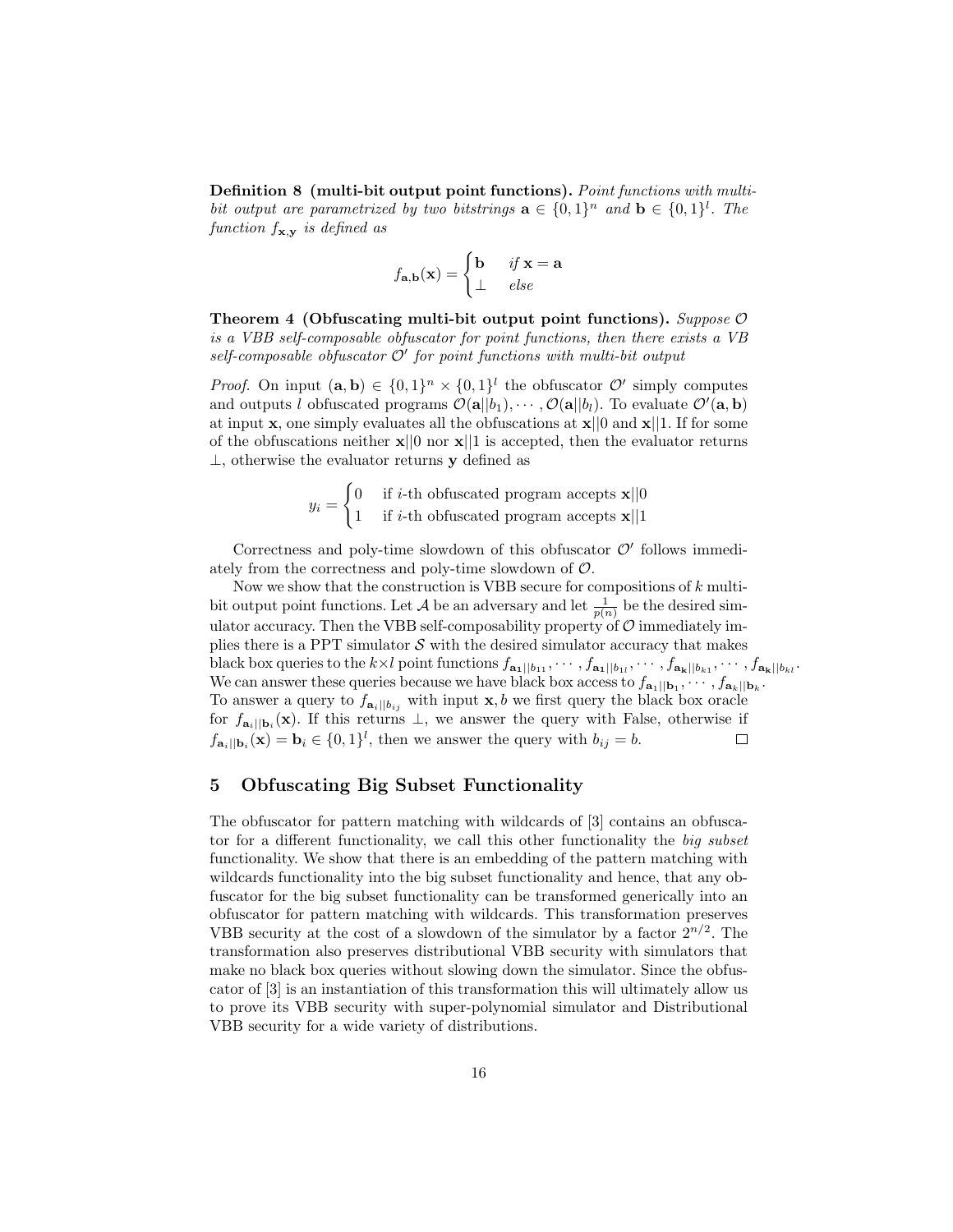Definition 8 (multi-bit output point functions). Point functions with multibit output are parametrized by two bitstrings  $\mathbf{a} \in \{0,1\}^n$  and  $\mathbf{b} \in \{0,1\}^l$ . The function  $f_{\mathbf{x},\mathbf{y}}$  is defined as

$$
f_{\mathbf{a},\mathbf{b}}(\mathbf{x}) = \begin{cases} \mathbf{b} & \text{if } \mathbf{x} = \mathbf{a} \\ \perp & \text{else} \end{cases}
$$

Theorem 4 (Obfuscating multi-bit output point functions). Suppose  $\mathcal{O}$ is a VBB self-composable obfuscator for point functions, then there exists a VB  $self-composable$  obfuscator  $\mathcal{O}'$  for point functions with multi-bit output

*Proof.* On input  $(a, b) \in \{0, 1\}^n \times \{0, 1\}^l$  the obfuscator  $\mathcal{O}'$  simply computes and outputs l obfuscated programs  $\mathcal{O}(\mathbf{a}||b_1), \cdots, \mathcal{O}(\mathbf{a}|b_l)$ . To evaluate  $\mathcal{O}'(\mathbf{a}, \mathbf{b})$ at input **x**, one simply evaluates all the obfuscations at  $\mathbf{x}||0$  and  $\mathbf{x}||1$ . If for some of the obfuscations neither  $\mathbf{x}||0$  nor  $\mathbf{x}||1$  is accepted, then the evaluator returns  $\perp$ , otherwise the evaluator returns y defined as

$$
y_i = \begin{cases} 0 & \text{if } i\text{-th obfuscated program accepts } \mathbf{x} \mid\mid 0 \\ 1 & \text{if } i\text{-th obfuscated program accepts } \mathbf{x} \mid\mid 1 \end{cases}
$$

Correctness and poly-time slowdown of this obfuscator  $\mathcal{O}'$  follows immediately from the correctness and poly-time slowdown of O.

Now we show that the construction is VBB secure for compositions of  $k$  multibit output point functions. Let A be an adversary and let  $\frac{1}{p(n)}$  be the desired simulator accuracy. Then the VBB self-composability property of  $\mathcal O$  immediately implies there is a PPT simulator  $S$  with the desired simulator accuracy that makes black box queries to the  $k \times l$  point functions  $f_{\mathbf{a_1}||b_{11}}, \cdots, f_{\mathbf{a_1}||b_{1l}}, \cdots, f_{\mathbf{a_k}||b_{k1}}, \cdots, f_{\mathbf{a_k}||b_{kl}}$ . We can answer these queries because we have black box access to  $f_{\mathbf{a}_1||\mathbf{b}_1}, \cdots, f_{\mathbf{a}_k||\mathbf{b}_k}$ . To answer a query to  $f_{\mathbf{a}_i||b_{ij}}$  with input **x**, b we first query the black box oracle for  $f_{\mathbf{a}_i||\mathbf{b}_i}(\mathbf{x})$ . If this returns  $\perp$ , we answer the query with False, otherwise if  $f_{\mathbf{a}_i||\mathbf{b}_i}(\mathbf{x}) = \mathbf{b}_i \in \{0,1\}^l$ , then we answer the query with  $b_{ij} = b$ .  $\Box$ 

# 5 Obfuscating Big Subset Functionality

The obfuscator for pattern matching with wildcards of [3] contains an obfuscator for a different functionality, we call this other functionality the big subset functionality. We show that there is an embedding of the pattern matching with wildcards functionality into the big subset functionality and hence, that any obfuscator for the big subset functionality can be transformed generically into an obfuscator for pattern matching with wildcards. This transformation preserves VBB security at the cost of a slowdown of the simulator by a factor  $2^{n/2}$ . The transformation also preserves distributional VBB security with simulators that make no black box queries without slowing down the simulator. Since the obfuscator of [3] is an instantiation of this transformation this will ultimately allow us to prove its VBB security with super-polynomial simulator and Distributional VBB security for a wide variety of distributions.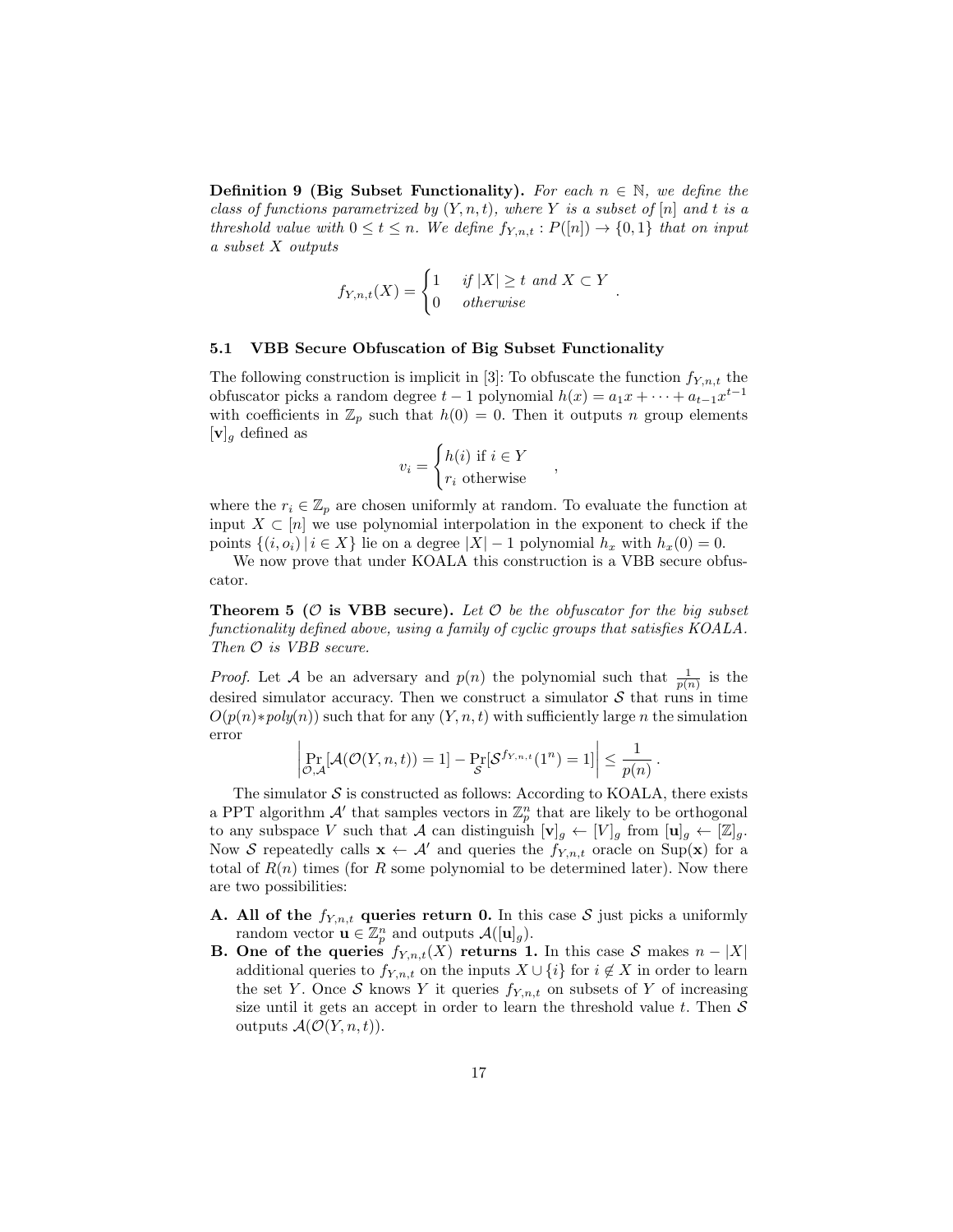**Definition 9 (Big Subset Functionality).** For each  $n \in \mathbb{N}$ , we define the class of functions parametrized by  $(Y, n, t)$ , where Y is a subset of  $[n]$  and t is a threshold value with  $0 \le t \le n$ . We define  $f_{Y,n,t} : P([n]) \to \{0,1\}$  that on input a subset X outputs

$$
f_{Y,n,t}(X) = \begin{cases} 1 & \text{if } |X| \ge t \text{ and } X \subset Y \\ 0 & \text{otherwise} \end{cases}
$$

.

#### 5.1 VBB Secure Obfuscation of Big Subset Functionality

The following construction is implicit in [3]: To obfuscate the function  $f_{Y,n,t}$  the obfuscator picks a random degree  $t-1$  polynomial  $h(x) = a_1x + \cdots + a_{t-1}x^{t-1}$ with coefficients in  $\mathbb{Z}_p$  such that  $h(0) = 0$ . Then it outputs n group elements  $[v]_g$  defined as

$$
v_i = \begin{cases} h(i) \text{ if } i \in Y \\ r_i \text{ otherwise} \end{cases}
$$

,

where the  $r_i \in \mathbb{Z}_p$  are chosen uniformly at random. To evaluate the function at input  $X \subset [n]$  we use polynomial interpolation in the exponent to check if the points  $\{(i, o_i) | i \in X\}$  lie on a degree  $|X| - 1$  polynomial  $h_x$  with  $h_x(0) = 0$ .

We now prove that under KOALA this construction is a VBB secure obfuscator.

**Theorem 5 (O is VBB secure).** Let  $\mathcal O$  be the obfuscator for the big subset functionality defined above, using a family of cyclic groups that satisfies KOALA. Then  $\mathcal O$  is VBB secure.

*Proof.* Let A be an adversary and  $p(n)$  the polynomial such that  $\frac{1}{p(n)}$  is the desired simulator accuracy. Then we construct a simulator  $\mathcal S$  that runs in time  $O(p(n) * poly(n))$  such that for any  $(Y, n, t)$  with sufficiently large n the simulation error

$$
\left|\Pr_{\mathcal{O},\mathcal{A}}[\mathcal{A}(\mathcal{O}(Y,n,t))=1]-\Pr_{\mathcal{S}}[\mathcal{S}^{f_{Y,n,t}}(1^n)=1]\right|\leq \frac{1}{p(n)}.
$$

The simulator  $S$  is constructed as follows: According to KOALA, there exists a PPT algorithm  $\mathcal{A}'$  that samples vectors in  $\mathbb{Z}_p^n$  that are likely to be orthogonal to any subspace V such that A can distinguish  $[\mathbf{v}]_g \leftarrow [V]_g$  from  $[\mathbf{u}]_g \leftarrow [\mathbb{Z}]_g$ . Now S repeatedly calls  $\mathbf{x} \leftarrow \mathcal{A}'$  and queries the  $f_{Y,n,t}$  oracle on Sup(x) for a total of  $R(n)$  times (for R some polynomial to be determined later). Now there are two possibilities:

- **A.** All of the  $f_{Y,n,t}$  queries return 0. In this case S just picks a uniformly random vector  $\mathbf{u} \in \mathbb{Z}_p^n$  and outputs  $\mathcal{A}([\mathbf{u}]_g)$ .
- **B.** One of the queries  $f_{Y,n,t}(X)$  returns 1. In this case S makes  $n |X|$ additional queries to  $f_{Y,n,t}$  on the inputs  $X \cup \{i\}$  for  $i \notin X$  in order to learn the set Y. Once S knows Y it queries  $f_{Y,n,t}$  on subsets of Y of increasing size until it gets an accept in order to learn the threshold value  $t$ . Then  $S$ outputs  $\mathcal{A}(\mathcal{O}(Y,n,t)).$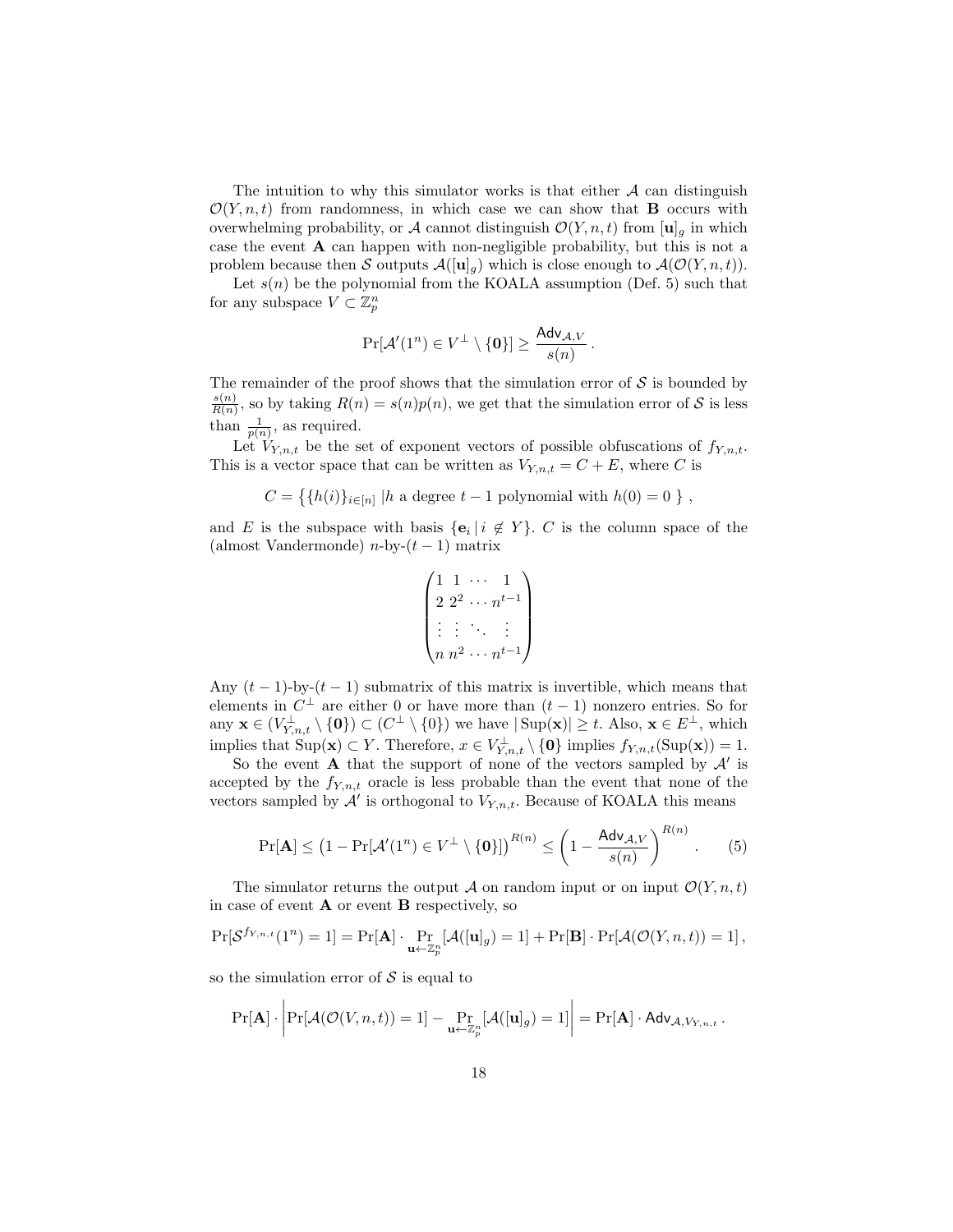The intuition to why this simulator works is that either  $A$  can distinguish  $\mathcal{O}(Y, n, t)$  from randomness, in which case we can show that **B** occurs with overwhelming probability, or A cannot distinguish  $\mathcal{O}(Y, n, t)$  from  $[\mathbf{u}]_q$  in which case the event A can happen with non-negligible probability, but this is not a problem because then S outputs  $\mathcal{A}([\mathbf{u}]_q)$  which is close enough to  $\mathcal{A}(\mathcal{O}(Y,n,t))$ .

Let  $s(n)$  be the polynomial from the KOALA assumption (Def. 5) such that for any subspace  $V \subset \mathbb{Z}_p^n$ 

$$
\Pr[\mathcal{A}'(1^n) \in V^{\perp} \setminus \{\mathbf{0}\}] \geq \frac{\mathsf{Adv}_{\mathcal{A},V}}{s(n)}\,.
$$

The remainder of the proof shows that the simulation error of  $\mathcal S$  is bounded by  $s(n)$  $\frac{s(n)}{R(n)}$ , so by taking  $R(n) = s(n)p(n)$ , we get that the simulation error of S is less than  $\frac{1}{p(n)}$ , as required.

Let  $V_{Y,n,t}$  be the set of exponent vectors of possible obfuscations of  $f_{Y,n,t}$ . This is a vector space that can be written as  $V_{Y,n,t} = C + E$ , where C is

$$
C = \{ \{ h(i) \}_{i \in [n]} \mid h \text{ a degree } t - 1 \text{ polynomial with } h(0) = 0 \}
$$

and E is the subspace with basis  ${e_i \mid i \notin Y}$ . C is the column space of the (almost Vandermonde)  $n$ -by- $(t-1)$  matrix

$$
\begin{pmatrix}\n1 & 1 & \cdots & 1 \\
2 & 2^2 & \cdots & n^{t-1} \\
\vdots & \vdots & \ddots & \vdots \\
n & n^2 & \cdots & n^{t-1}\n\end{pmatrix}
$$

Any  $(t-1)$ -by- $(t-1)$  submatrix of this matrix is invertible, which means that elements in  $C^{\perp}$  are either 0 or have more than  $(t-1)$  nonzero entries. So for any  $\mathbf{x} \in (V_{Y,n,t}^{\perp} \setminus \{\mathbf{0}\}) \subset (C^{\perp} \setminus \{0\})$  we have  $|\text{Sup}(\mathbf{x})| \geq t$ . Also,  $\mathbf{x} \in E^{\perp}$ , which implies that  $\text{Sup}(\mathbf{x}) \subset Y$ . Therefore,  $x \in V_{Y,n,t}^{\perp} \setminus \{0\}$  implies  $f_{Y,n,t}(\text{Sup}(\mathbf{x})) = 1$ .

So the event **A** that the support of none of the vectors sampled by  $\mathcal{A}'$  is accepted by the  $f_{Y,n,t}$  oracle is less probable than the event that none of the vectors sampled by  $\mathcal{A}'$  is orthogonal to  $V_{Y,n,t}$ . Because of KOALA this means

$$
\Pr[\mathbf{A}] \le (1 - \Pr[\mathcal{A}'(1^n) \in V^{\perp} \setminus \{\mathbf{0}\}])^{R(n)} \le \left(1 - \frac{\mathsf{Adv}_{\mathcal{A},V}}{s(n)}\right)^{R(n)}.\tag{5}
$$

The simulator returns the output A on random input or on input  $\mathcal{O}(Y, n, t)$ in case of event  $\bf{A}$  or event  $\bf{B}$  respectively, so

$$
\Pr[\mathcal{S}^{f_{Y,n,t}}(1^n) = 1] = \Pr[\mathbf{A}] \cdot \Pr_{\mathbf{u} \leftarrow \mathbb{Z}_p^n}[\mathcal{A}([\mathbf{u}]_g) = 1] + \Pr[\mathbf{B}] \cdot \Pr[\mathcal{A}(\mathcal{O}(Y,n,t)) = 1],
$$

so the simulation error of  $\mathcal S$  is equal to

$$
\Pr[\mathbf{A}] \cdot \left| \Pr[\mathcal{A}(\mathcal{O}(V,n,t)) = 1] - \Pr_{\mathbf{u} \leftarrow \mathbb{Z}_p^n}[\mathcal{A}([\mathbf{u}]_g) = 1] \right| = \Pr[\mathbf{A}] \cdot \mathsf{Adv}_{\mathcal{A}, V_{Y,n,t}}.
$$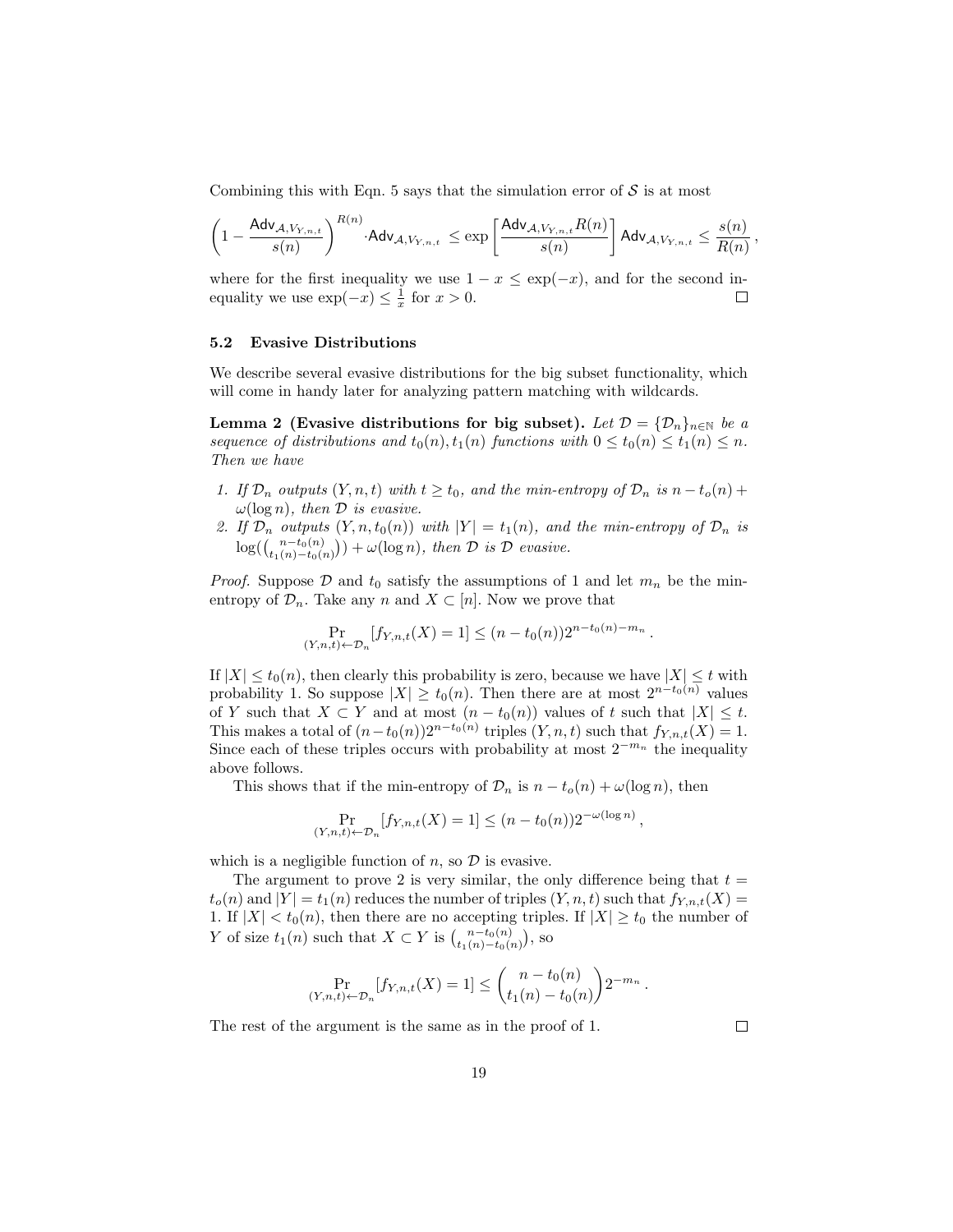Combining this with Eqn. 5 says that the simulation error of  $S$  is at most

$$
\left(1-\frac{\mathsf{Adv}_{\mathcal{A},V_{Y,n,t}}}{s(n)}\right)^{R(n)}\cdot \mathsf{Adv}_{\mathcal{A},V_{Y,n,t}} \leq \exp\left[\frac{\mathsf{Adv}_{\mathcal{A},V_{Y,n,t}}R(n)}{s(n)}\right] \mathsf{Adv}_{\mathcal{A},V_{Y,n,t}} \leq \frac{s(n)}{R(n)},
$$

where for the first inequality we use  $1 - x \leq \exp(-x)$ , and for the second inequality we use  $\exp(-x) \leq \frac{1}{x}$  for  $x > 0$ .  $\Box$ 

## 5.2 Evasive Distributions

We describe several evasive distributions for the big subset functionality, which will come in handy later for analyzing pattern matching with wildcards.

Lemma 2 (Evasive distributions for big subset). Let  $\mathcal{D} = {\{\mathcal{D}_n\}}_{n \in \mathbb{N}}$  be a sequence of distributions and  $t_0(n)$ ,  $t_1(n)$  functions with  $0 \le t_0(n) \le t_1(n) \le n$ . Then we have

- 1. If  $\mathcal{D}_n$  outputs  $(Y, n, t)$  with  $t \geq t_0$ , and the min-entropy of  $\mathcal{D}_n$  is  $n t_o(n) +$  $\omega(\log n)$ , then  $\mathcal D$  is evasive.
- 2. If  $\mathcal{D}_n$  outputs  $(Y, n, t_0(n))$  with  $|Y| = t_1(n)$ , and the min-entropy of  $\mathcal{D}_n$  is  $log((\binom{n-t_0(n)}{t_1(n)-t_0(n)})) + \omega(log n)$ , then  $\mathcal D$  is  $\mathcal D$  evasive.

*Proof.* Suppose  $D$  and  $t_0$  satisfy the assumptions of 1 and let  $m_n$  be the minentropy of  $\mathcal{D}_n$ . Take any n and  $X \subset [n]$ . Now we prove that

$$
\Pr_{(Y,n,t)\leftarrow \mathcal{D}_n}[f_{Y,n,t}(X) = 1] \le (n - t_0(n))2^{n - t_0(n) - m_n}.
$$

If  $|X| \le t_0(n)$ , then clearly this probability is zero, because we have  $|X| \le t$  with probability 1. So suppose  $|X| \ge t_0(n)$ . Then there are at most  $2^{n-t_0(n)}$  values of Y such that  $X \subset Y$  and at most  $(n - t_0(n))$  values of t such that  $|X| \leq t$ . This makes a total of  $(n-t_0(n))2^{n-t_0(n)}$  triples  $(Y, n, t)$  such that  $f_{Y, n,t}(X) = 1$ . Since each of these triples occurs with probability at most  $2^{-m_n}$  the inequality above follows.

This shows that if the min-entropy of  $\mathcal{D}_n$  is  $n - t_o(n) + \omega(\log n)$ , then

$$
\Pr_{(Y,n,t)\leftarrow \mathcal{D}_n}[f_{Y,n,t}(X) = 1] \le (n - t_0(n))2^{-\omega(\log n)},
$$

which is a negligible function of  $n$ , so  $\mathcal D$  is evasive.

The argument to prove 2 is very similar, the only difference being that  $t =$  $t_o(n)$  and  $|Y| = t_1(n)$  reduces the number of triples  $(Y, n, t)$  such that  $f_{Y, n, t}(X) =$ 1. If  $|X| < t_0(n)$ , then there are no accepting triples. If  $|X| \ge t_0$  the number of Y of size  $t_1(n)$  such that  $X \subset Y$  is  $\binom{n-t_0(n)}{t_1(n)-t_0(n)}$ , so

$$
\Pr_{(Y,n,t)\leftarrow \mathcal{D}_n}[f_{Y,n,t}(X) = 1] \le \binom{n-t_0(n)}{t_1(n) - t_0(n)} 2^{-m_n}.
$$

The rest of the argument is the same as in the proof of 1.

 $\Box$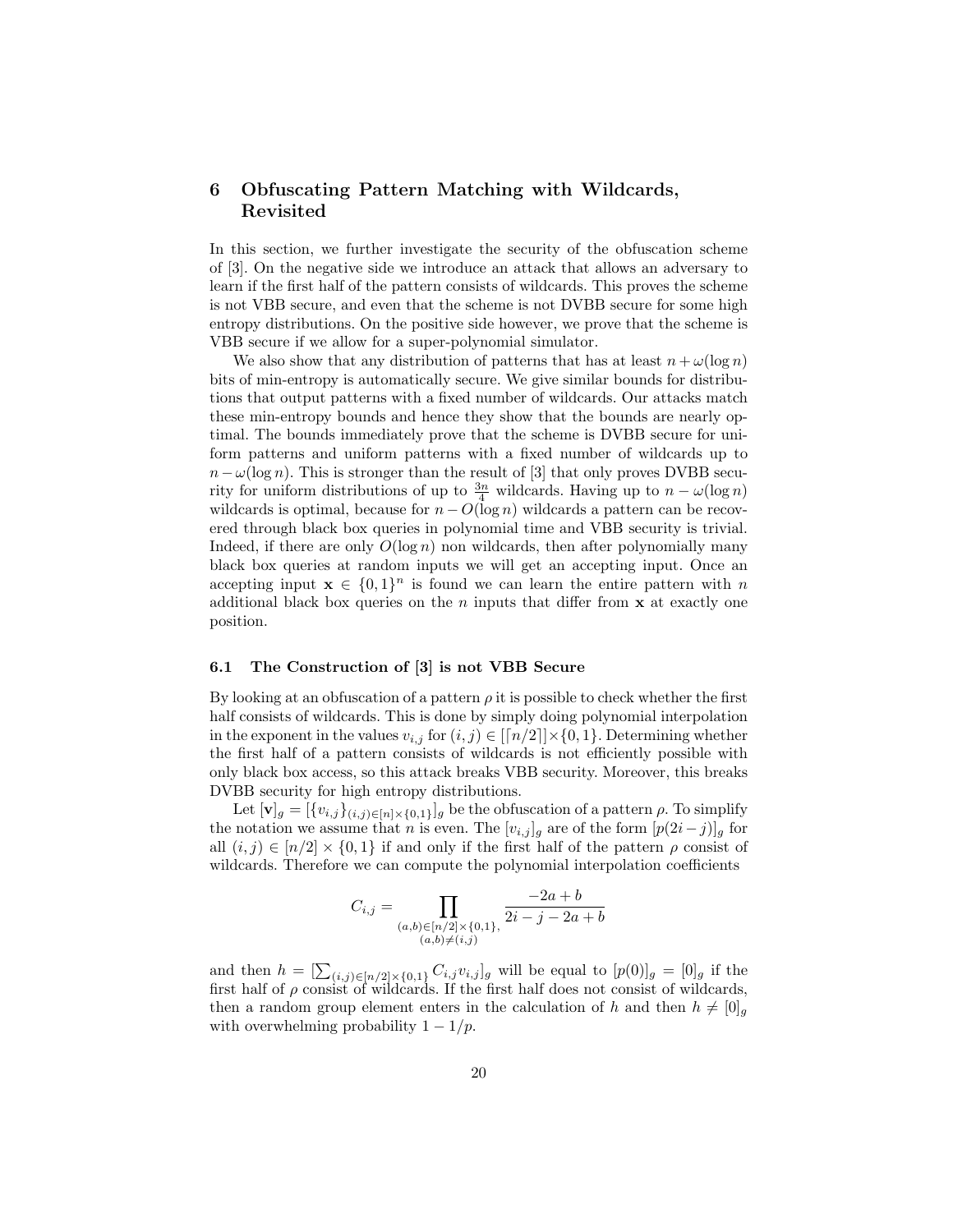# 6 Obfuscating Pattern Matching with Wildcards, Revisited

In this section, we further investigate the security of the obfuscation scheme of [3]. On the negative side we introduce an attack that allows an adversary to learn if the first half of the pattern consists of wildcards. This proves the scheme is not VBB secure, and even that the scheme is not DVBB secure for some high entropy distributions. On the positive side however, we prove that the scheme is VBB secure if we allow for a super-polynomial simulator.

We also show that any distribution of patterns that has at least  $n + \omega(\log n)$ bits of min-entropy is automatically secure. We give similar bounds for distributions that output patterns with a fixed number of wildcards. Our attacks match these min-entropy bounds and hence they show that the bounds are nearly optimal. The bounds immediately prove that the scheme is DVBB secure for uniform patterns and uniform patterns with a fixed number of wildcards up to  $n-\omega(\log n)$ . This is stronger than the result of [3] that only proves DVBB security for uniform distributions of up to  $\frac{3n}{4}$  wildcards. Having up to  $n - \omega(\log n)$ wildcards is optimal, because for  $n - O(\log n)$  wildcards a pattern can be recovered through black box queries in polynomial time and VBB security is trivial. Indeed, if there are only  $O(\log n)$  non wildcards, then after polynomially many black box queries at random inputs we will get an accepting input. Once an accepting input  $\mathbf{x} \in \{0,1\}^n$  is found we can learn the entire pattern with n additional black box queries on the n inputs that differ from  $x$  at exactly one position.

#### 6.1 The Construction of [3] is not VBB Secure

By looking at an obfuscation of a pattern  $\rho$  it is possible to check whether the first half consists of wildcards. This is done by simply doing polynomial interpolation in the exponent in the values  $v_{i,j}$  for  $(i, j) \in [[n/2]] \times \{0, 1\}$ . Determining whether the first half of a pattern consists of wildcards is not efficiently possible with only black box access, so this attack breaks VBB security. Moreover, this breaks DVBB security for high entropy distributions.

Let  $[\mathbf{v}]_g = [\{v_{i,j}\}_{(i,j)\in[n]\times\{0,1\}}]_g$  be the obfuscation of a pattern  $\rho$ . To simplify the notation we assume that n is even. The  $[v_{i,j}]_g$  are of the form  $[p(2i-j)]_g$  for all  $(i, j) \in [n/2] \times \{0, 1\}$  if and only if the first half of the pattern  $\rho$  consist of wildcards. Therefore we can compute the polynomial interpolation coefficients

$$
C_{i,j} = \prod_{\substack{(a,b)\in [n/2]\times\{0,1\},\\(a,b)\neq(i,j)}} \frac{-2a+b}{2i-j-2a+b}
$$

and then  $h = \left[\sum_{(i,j) \in [n/2] \times \{0,1\}} C_{i,j} v_{i,j}\right]_g$  will be equal to  $[p(0)]_g = [0]_g$  if the first half of  $\rho$  consist of wildcards. If the first half does not consist of wildcards, then a random group element enters in the calculation of h and then  $h \neq [0]_g$ with overwhelming probability  $1 - 1/p$ .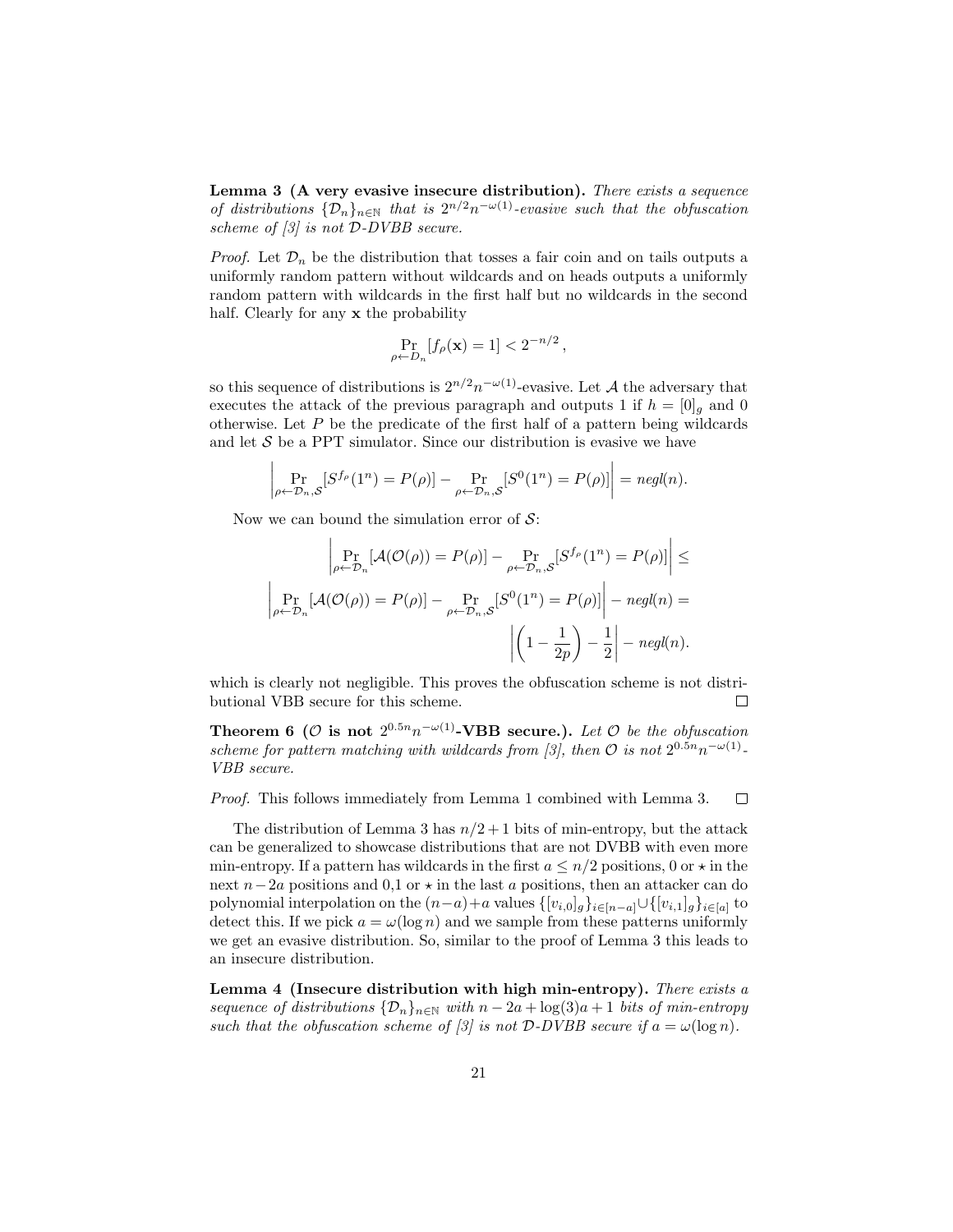Lemma 3 (A very evasive insecure distribution). There exists a sequence of distributions  $\{\mathcal{D}_n\}_{n\in\mathbb{N}}$  that is  $2^{n/2}n^{-\omega(1)}$ -evasive such that the obfuscation scheme of  $\beta$  is not D-DVBB secure.

*Proof.* Let  $\mathcal{D}_n$  be the distribution that tosses a fair coin and on tails outputs a uniformly random pattern without wildcards and on heads outputs a uniformly random pattern with wildcards in the first half but no wildcards in the second half. Clearly for any **x** the probability

$$
\Pr_{\rho \leftarrow D_n} [f_{\rho}(\mathbf{x}) = 1] < 2^{-n/2} \,,
$$

so this sequence of distributions is  $2^{n/2}n^{-\omega(1)}$ -evasive. Let A the adversary that executes the attack of the previous paragraph and outputs 1 if  $h = [0]_g$  and 0 otherwise. Let  $P$  be the predicate of the first half of a pattern being wildcards and let  $S$  be a PPT simulator. Since our distribution is evasive we have

$$
\left| \Pr_{\rho \leftarrow \mathcal{D}_n, \mathcal{S}} [S^{f_{\rho}}(1^n) = P(\rho)] - \Pr_{\rho \leftarrow \mathcal{D}_n, \mathcal{S}} [S^0(1^n) = P(\rho)] \right| = negl(n).
$$

Now we can bound the simulation error of  $\mathcal{S}$ :

 $\mathbf{r}$ 

$$
\left| \Pr_{\rho \leftarrow \mathcal{D}_n} [\mathcal{A}(\mathcal{O}(\rho)) = P(\rho)] - \Pr_{\rho \leftarrow \mathcal{D}_n, \mathcal{S}} [S^{f_{\rho}}(1^n) = P(\rho)] \right| \le
$$
  

$$
\left| \Pr_{\rho \leftarrow \mathcal{D}_n} [\mathcal{A}(\mathcal{O}(\rho)) = P(\rho)] - \Pr_{\rho \leftarrow \mathcal{D}_n, \mathcal{S}} [S^0(1^n) = P(\rho)] \right| - negl(n) =
$$
  

$$
\left| \left( 1 - \frac{1}{2p} \right) - \frac{1}{2} \right| - negl(n).
$$

which is clearly not negligible. This proves the obfuscation scheme is not distributional VBB secure for this scheme.  $\Box$ 

Theorem 6 ( $\mathcal O$  is not  $2^{0.5n}n^{-\omega(1)}$ -VBB secure.). Let  $\mathcal O$  be the obfuscation scheme for pattern matching with wildcards from [3], then  $\mathcal O$  is not  $2^{0.5n}n^{-\omega(1)}$ . VBB secure.

 $\Box$ Proof. This follows immediately from Lemma 1 combined with Lemma 3.

The distribution of Lemma 3 has  $n/2+1$  bits of min-entropy, but the attack can be generalized to showcase distributions that are not DVBB with even more min-entropy. If a pattern has wildcards in the first  $a \leq n/2$  positions, 0 or  $\star$  in the next  $n-2a$  positions and 0,1 or  $\star$  in the last a positions, then an attacker can do polynomial interpolation on the  $(n-a)+a$  values  $\{[v_{i,0}]_g\}_{i\in[n-a]}\cup\{[v_{i,1}]_g\}_{i\in[a]}$  to detect this. If we pick  $a = \omega(\log n)$  and we sample from these patterns uniformly we get an evasive distribution. So, similar to the proof of Lemma 3 this leads to an insecure distribution.

Lemma 4 (Insecure distribution with high min-entropy). There exists a sequence of distributions  $\{\mathcal{D}_n\}_{n\in\mathbb{N}}$  with  $n-2a+\log(3)a+1$  bits of min-entropy such that the obfuscation scheme of [3] is not  $D$ -DVBB secure if  $a = \omega(\log n)$ .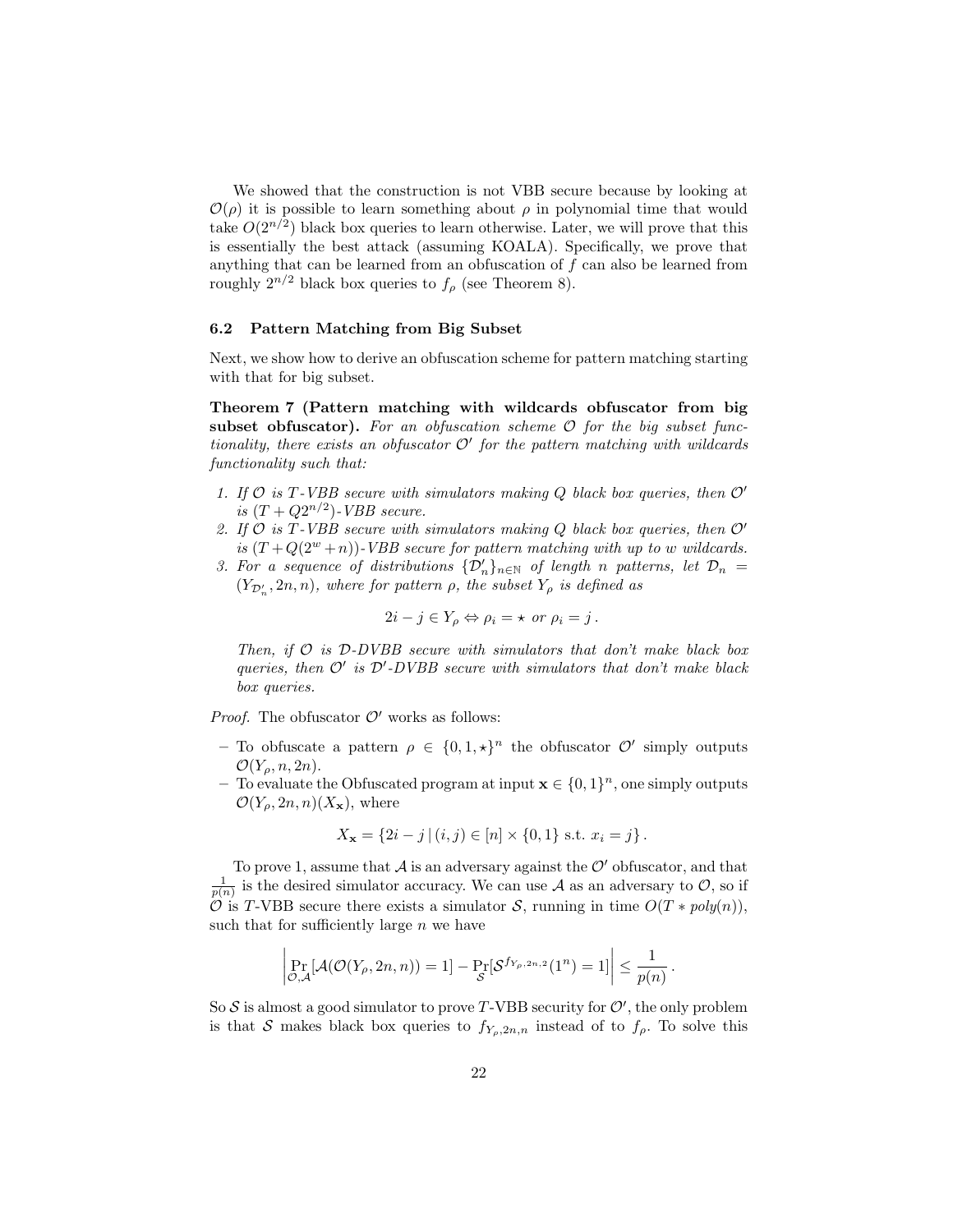We showed that the construction is not VBB secure because by looking at  $\mathcal{O}(\rho)$  it is possible to learn something about  $\rho$  in polynomial time that would take  $O(2^{n/2})$  black box queries to learn otherwise. Later, we will prove that this is essentially the best attack (assuming KOALA). Specifically, we prove that anything that can be learned from an obfuscation of  $f$  can also be learned from roughly  $2^{n/2}$  black box queries to  $f<sub>o</sub>$  (see Theorem 8).

#### 6.2 Pattern Matching from Big Subset

Next, we show how to derive an obfuscation scheme for pattern matching starting with that for big subset.

Theorem 7 (Pattern matching with wildcards obfuscator from big subset obfuscator). For an obfuscation scheme  $\mathcal O$  for the big subset functionality, there exists an obfuscator  $\mathcal{O}'$  for the pattern matching with wildcards functionality such that:

- 1. If  $\mathcal O$  is T-VBB secure with simulators making Q black box queries, then  $\mathcal O'$ is  $(T + Q2^{n/2})$ -VBB secure.
- 2. If  $O$  is T-VBB secure with simulators making  $Q$  black box queries, then  $O'$ is  $(T+Q(2^w+n))$ -VBB secure for pattern matching with up to w wildcards.
- 3. For a sequence of distributions  $\{\mathcal{D}'_n\}_{n\in\mathbb{N}}$  of length n patterns, let  $\mathcal{D}_n =$  $(Y_{\mathcal{D}'_n}, 2n, n)$ , where for pattern  $\rho$ , the subset  $Y_{\rho}$  is defined as

$$
2i - j \in Y_{\rho} \Leftrightarrow \rho_i = \star \text{ or } \rho_i = j.
$$

Then, if  $\mathcal O$  is  $\mathcal D$ -DVBB secure with simulators that don't make black box queries, then  $\mathcal{O}'$  is  $\mathcal{D}'$ -DVBB secure with simulators that don't make black box queries.

*Proof.* The obfuscator  $\mathcal{O}'$  works as follows:

- To obfuscate a pattern  $\rho \in \{0,1,\star\}^n$  the obfuscator  $\mathcal{O}'$  simply outputs  $\mathcal{O}(Y_{\rho}, n, 2n)$ .
- To evaluate the Obfuscated program at input  $\mathbf{x} \in \{0,1\}^n$ , one simply outputs  $\mathcal{O}(Y_{\rho}, 2n, n)(X_{\mathbf{x}}),$  where

$$
X_{\mathbf{x}} = \{2i - j \mid (i, j) \in [n] \times \{0, 1\} \text{ s.t. } x_i = j\}.
$$

To prove 1, assume that  $\mathcal A$  is an adversary against the  $\mathcal O'$  obfuscator, and that  $\frac{1}{p(n)}$  is the desired simulator accuracy. We can use A as an adversary to O, so if  $\hat{\mathcal{O}}$  is T-VBB secure there exists a simulator  $\mathcal{S}$ , running in time  $O(T * poly(n)),$ such that for sufficiently large  $n$  we have

$$
\left|\Pr_{\mathcal{O},\mathcal{A}}[\mathcal{A}(\mathcal{O}(Y_{\rho},2n,n))=1]-\Pr_{\mathcal{S}}[\mathcal{S}^{f_{Y_{\rho},2n,2}}(1^n)=1]\right|\leq \frac{1}{p(n)}.
$$

So S is almost a good simulator to prove T-VBB security for  $\mathcal{O}'$ , the only problem is that S makes black box queries to  $f_{Y_o,2n,n}$  instead of to  $f_\rho$ . To solve this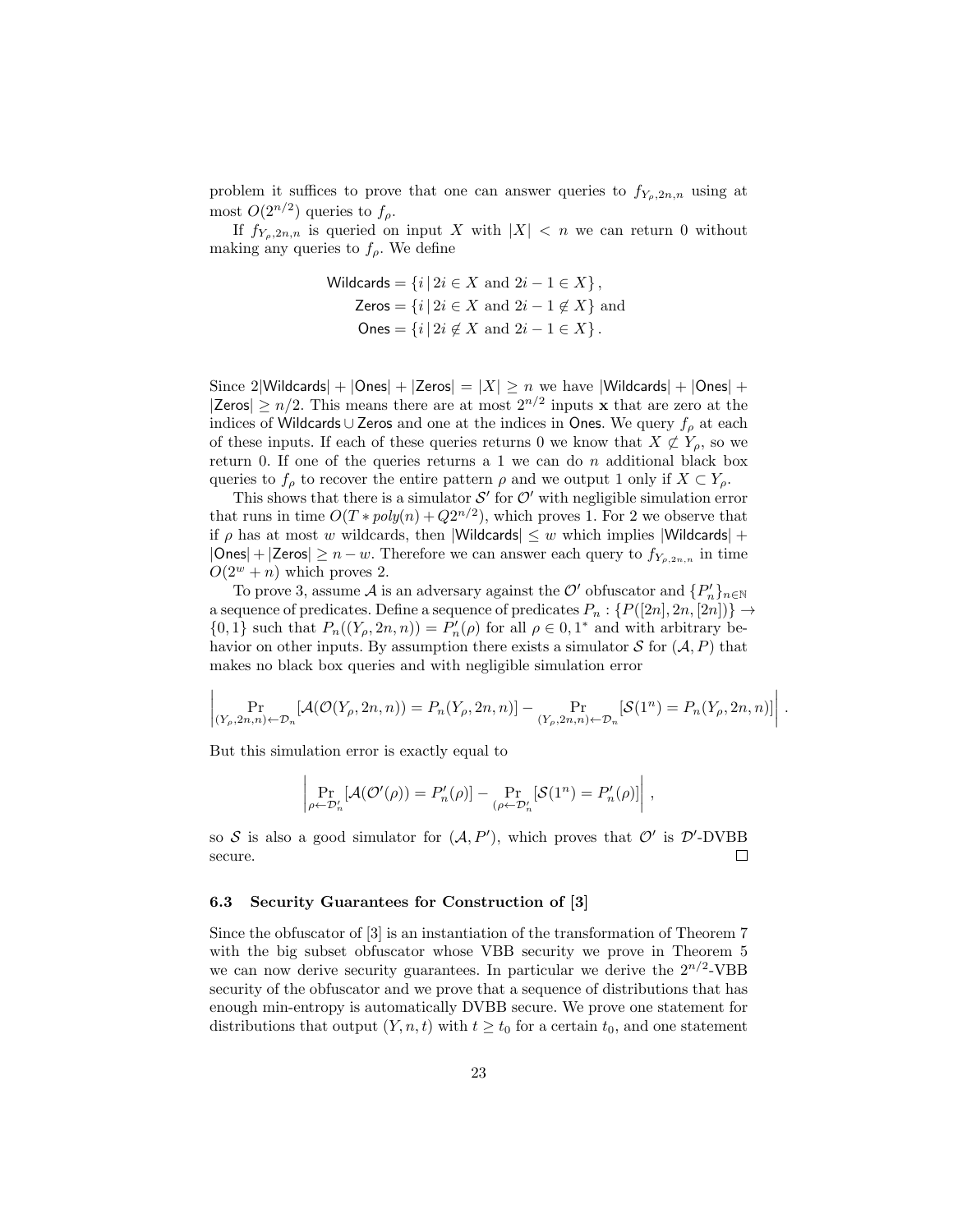problem it suffices to prove that one can answer queries to  $f_{Y_o,2n,n}$  using at most  $O(2^{n/2})$  queries to  $f_{\rho}$ .

If  $f_{Y_p,2n,n}$  is queried on input X with  $|X| < n$  we can return 0 without making any queries to  $f_{\rho}$ . We define

$$
\text{Wildcards} = \{i \mid 2i \in X \text{ and } 2i - 1 \in X\},
$$
\n
$$
\text{Zeros} = \{i \mid 2i \in X \text{ and } 2i - 1 \notin X\} \text{ and}
$$
\n
$$
\text{Ones} = \{i \mid 2i \notin X \text{ and } 2i - 1 \in X\}.
$$

Since 2|Wildcards| +  $|Ones|$  +  $|Zeros|$  =  $|X| \ge n$  we have  $|W$ ildcards| +  $|Ones|$  + |Zeros|  $\geq n/2$ . This means there are at most  $2^{n/2}$  inputs x that are zero at the indices of Wildcards ∪ Zeros and one at the indices in Ones. We query  $f_0$  at each of these inputs. If each of these queries returns 0 we know that  $X \not\subset Y_o$ , so we return 0. If one of the queries returns a 1 we can do  $n$  additional black box queries to  $f_\rho$  to recover the entire pattern  $\rho$  and we output 1 only if  $X \subset Y_\rho$ .

This shows that there is a simulator  $\mathcal{S}'$  for  $\mathcal{O}'$  with negligible simulation error that runs in time  $O(T * poly(n) + Q2^{n/2})$ , which proves 1. For 2 we observe that if  $\rho$  has at most w wildcards, then |Wildcards|  $\leq w$  which implies |Wildcards| +  $|\mathsf{Ones}| + |\mathsf{Zeros}| \geq n - w$ . Therefore we can answer each query to  $f_{Y_{\rho,2n,n}}$  in time  $O(2^w + n)$  which proves 2.

To prove 3, assume  $\mathcal A$  is an adversary against the  $\mathcal O'$  obfuscator and  $\{P_n'\}_{n\in\mathbb N}$ a sequence of predicates. Define a sequence of predicates  $P_n: \{P([2n], 2n, [2n])\} \rightarrow$  $\{0,1\}$  such that  $P_n((Y_\rho, 2n, n)) = P'_n(\rho)$  for all  $\rho \in 0, 1^*$  and with arbitrary behavior on other inputs. By assumption there exists a simulator  $S$  for  $(A, P)$  that makes no black box queries and with negligible simulation error

$$
\left| \Pr_{(Y_{\rho},2n,n)\leftarrow\mathcal{D}_n}[\mathcal{A}(\mathcal{O}(Y_{\rho},2n,n)) = P_n(Y_{\rho},2n,n)] - \Pr_{(Y_{\rho},2n,n)\leftarrow\mathcal{D}_n}[\mathcal{S}(1^n) = P_n(Y_{\rho},2n,n)] \right|.
$$

But this simulation error is exactly equal to

 $\mathbf{I}$ 

$$
\left| \Pr_{\rho \leftarrow \mathcal{D}'_n} [\mathcal{A}(\mathcal{O}'(\rho)) = P'_n(\rho)] - \Pr_{(\rho \leftarrow \mathcal{D}'_n} [\mathcal{S}(1^n) = P'_n(\rho)] \right|,
$$

so S is also a good simulator for  $(A, P')$ , which proves that  $O'$  is D'-DVBB  $\Box$ secure.

#### 6.3 Security Guarantees for Construction of [3]

Since the obfuscator of [3] is an instantiation of the transformation of Theorem 7 with the big subset obfuscator whose VBB security we prove in Theorem 5 we can now derive security guarantees. In particular we derive the  $2^{n/2}$ -VBB security of the obfuscator and we prove that a sequence of distributions that has enough min-entropy is automatically DVBB secure. We prove one statement for distributions that output  $(Y, n, t)$  with  $t \geq t_0$  for a certain  $t_0$ , and one statement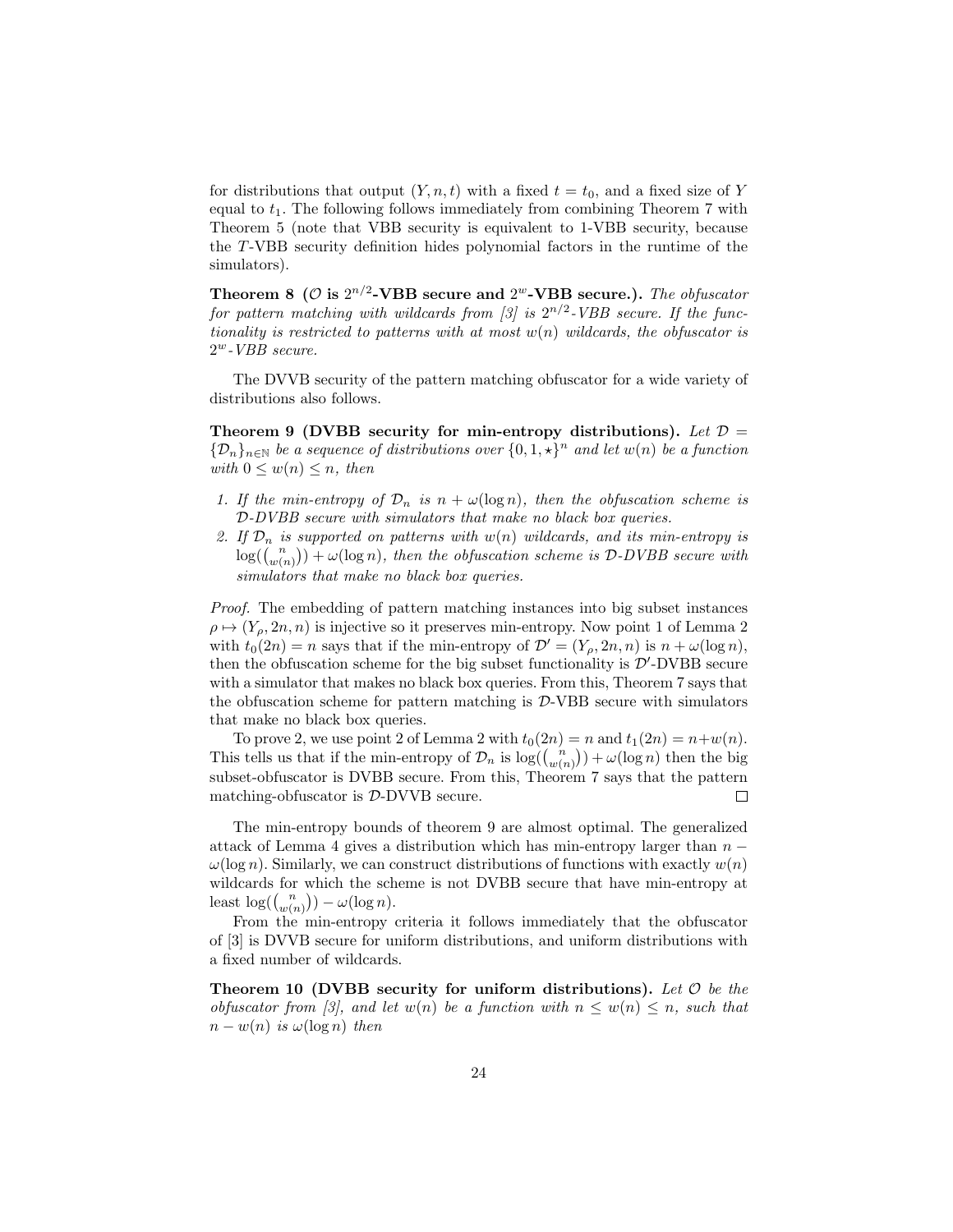for distributions that output  $(Y, n, t)$  with a fixed  $t = t_0$ , and a fixed size of Y equal to  $t_1$ . The following follows immediately from combining Theorem 7 with Theorem 5 (note that VBB security is equivalent to 1-VBB security, because the T-VBB security definition hides polynomial factors in the runtime of the simulators).

Theorem 8 ( $\mathcal{O}$  is  $2^{n/2}$ -VBB secure and  $2^w$ -VBB secure.). The obfuscator for pattern matching with wildcards from [3] is  $2^{n/2}$ -VBB secure. If the functionality is restricted to patterns with at most  $w(n)$  wildcards, the obfuscator is 2 <sup>w</sup>-VBB secure.

The DVVB security of the pattern matching obfuscator for a wide variety of distributions also follows.

Theorem 9 (DVBB security for min-entropy distributions). Let  $\mathcal{D} =$  $\{\mathcal{D}_n\}_{n\in\mathbb{N}}$  be a sequence of distributions over  $\{0,1,\star\}^n$  and let  $w(n)$  be a function with  $0 \leq w(n) \leq n$ , then

- 1. If the min-entropy of  $\mathcal{D}_n$  is  $n + \omega(\log n)$ , then the obfuscation scheme is D-DVBB secure with simulators that make no black box queries.
- 2. If  $\mathcal{D}_n$  is supported on patterns with  $w(n)$  wildcards, and its min-entropy is  $log((\binom{n}{w(n)})+\omega(\log n),$  then the obfuscation scheme is D-DVBB secure with simulators that make no black box queries.

Proof. The embedding of pattern matching instances into big subset instances  $\rho \mapsto (Y_{\rho}, 2n, n)$  is injective so it preserves min-entropy. Now point 1 of Lemma 2 with  $t_0(2n) = n$  says that if the min-entropy of  $\mathcal{D}' = (Y_\rho, 2n, n)$  is  $n + \omega(\log n)$ , then the obfuscation scheme for the big subset functionality is  $\mathcal{D}'$ -DVBB secure with a simulator that makes no black box queries. From this, Theorem 7 says that the obfuscation scheme for pattern matching is  $D$ -VBB secure with simulators that make no black box queries.

To prove 2, we use point 2 of Lemma 2 with  $t_0(2n) = n$  and  $t_1(2n) = n+w(n)$ . This tells us that if the min-entropy of  $\mathcal{D}_n$  is  $\log(\binom{n}{w(n)}) + \omega(\log n)$  then the big subset-obfuscator is DVBB secure. From this, Theorem 7 says that the pattern matching-obfuscator is D-DVVB secure.  $\Box$ 

The min-entropy bounds of theorem 9 are almost optimal. The generalized attack of Lemma 4 gives a distribution which has min-entropy larger than  $n \omega(\log n)$ . Similarly, we can construct distributions of functions with exactly  $w(n)$ wildcards for which the scheme is not DVBB secure that have min-entropy at least  $\log(\binom{n}{w(n)}) - \omega(\log n)$ .

From the min-entropy criteria it follows immediately that the obfuscator of [3] is DVVB secure for uniform distributions, and uniform distributions with a fixed number of wildcards.

Theorem 10 (DVBB security for uniform distributions). Let  $\mathcal O$  be the obfuscator from [3], and let  $w(n)$  be a function with  $n \leq w(n) \leq n$ , such that  $n - w(n)$  is  $\omega(\log n)$  then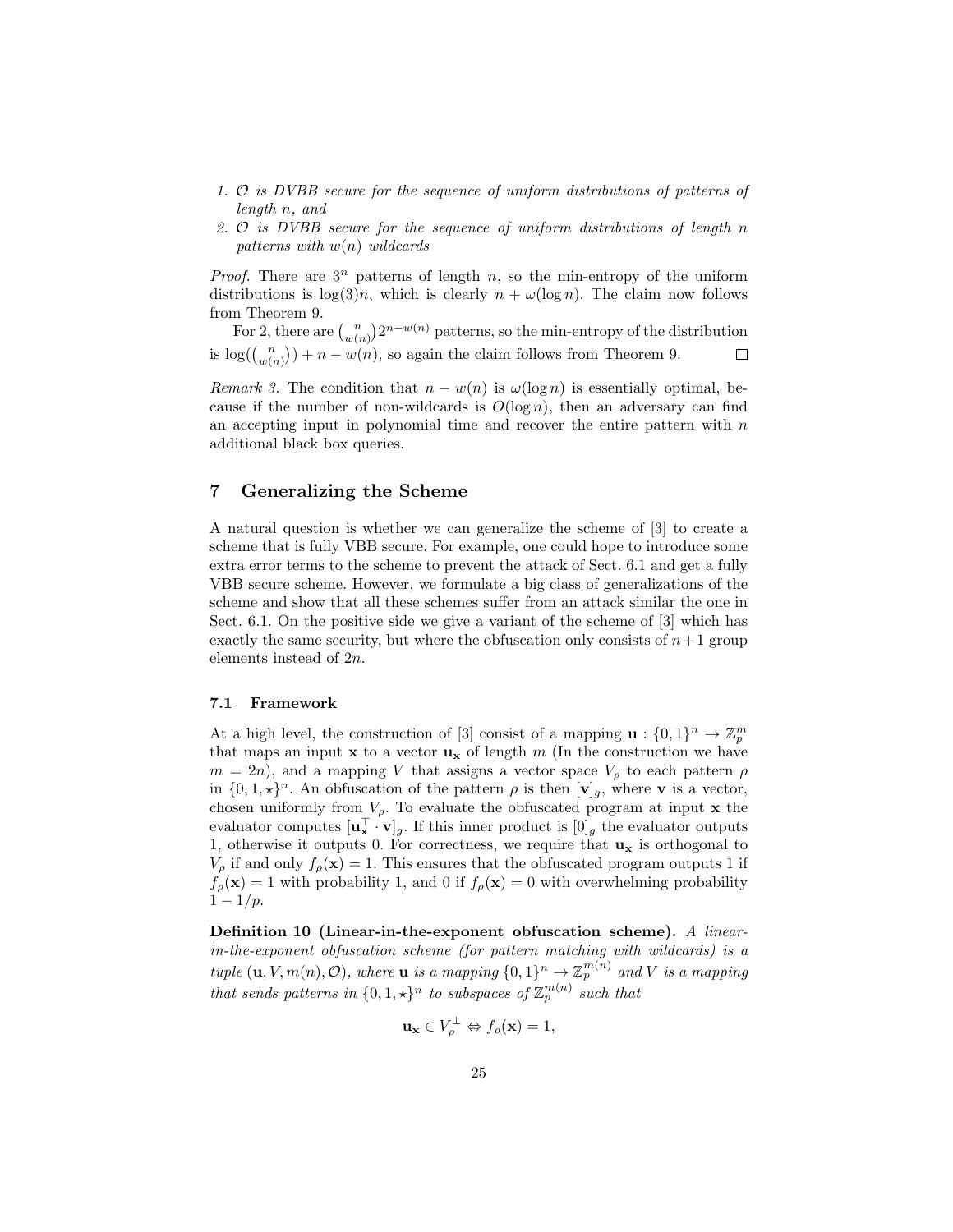- 1. O is DVBB secure for the sequence of uniform distributions of patterns of length n, and
- 2. O is DVBB secure for the sequence of uniform distributions of length n patterns with  $w(n)$  wildcards

*Proof.* There are  $3^n$  patterns of length n, so the min-entropy of the uniform distributions is  $\log(3)n$ , which is clearly  $n + \omega(\log n)$ . The claim now follows from Theorem 9.

For 2, there are  $\binom{n}{w(n)} 2^{n-w(n)}$  patterns, so the min-entropy of the distribution is  $\log(\binom{n}{w(n)}) + n - w(n)$ , so again the claim follows from Theorem 9.  $\Box$ 

Remark 3. The condition that  $n - w(n)$  is  $\omega(\log n)$  is essentially optimal, because if the number of non-wildcards is  $O(\log n)$ , then an adversary can find an accepting input in polynomial time and recover the entire pattern with  $n$ additional black box queries.

# 7 Generalizing the Scheme

A natural question is whether we can generalize the scheme of [3] to create a scheme that is fully VBB secure. For example, one could hope to introduce some extra error terms to the scheme to prevent the attack of Sect. 6.1 and get a fully VBB secure scheme. However, we formulate a big class of generalizations of the scheme and show that all these schemes suffer from an attack similar the one in Sect. 6.1. On the positive side we give a variant of the scheme of [3] which has exactly the same security, but where the obfuscation only consists of  $n+1$  group elements instead of 2n.

## 7.1 Framework

At a high level, the construction of [3] consist of a mapping  $\mathbf{u}: \{0,1\}^n \to \mathbb{Z}_p^m$ that maps an input  $x$  to a vector  $u_x$  of length m (In the construction we have  $m = 2n$ , and a mapping V that assigns a vector space  $V<sub>\rho</sub>$  to each pattern  $\rho$ in  $\{0,1,\star\}^n$ . An obfuscation of the pattern  $\rho$  is then  $[\mathbf{v}]_g$ , where **v** is a vector, chosen uniformly from  $V_{\rho}$ . To evaluate the obfuscated program at input **x** the evaluator computes  $[\mathbf{u}_\mathbf{x}^\top \cdot \mathbf{v}]_g$ . If this inner product is  $[0]_g$  the evaluator outputs 1, otherwise it outputs 0. For correctness, we require that  $\mathbf{u}_{\mathbf{x}}$  is orthogonal to  $V_{\rho}$  if and only  $f_{\rho}(\mathbf{x}) = 1$ . This ensures that the obfuscated program outputs 1 if  $f_{\rho}(\mathbf{x}) = 1$  with probability 1, and 0 if  $f_{\rho}(\mathbf{x}) = 0$  with overwhelming probability  $1 - 1/p$ .

Definition 10 (Linear-in-the-exponent obfuscation scheme). A linearin-the-exponent obfuscation scheme (for pattern matching with wildcards) is a tuple  $(\mathbf{u}, V, m(n), \mathcal{O})$ , where  $\mathbf{u}$  is a mapping  $\{0,1\}^n \to \mathbb{Z}_p^{m(n)}$  and V is a mapping that sends patterns in  $\{0, 1, \star\}^n$  to subspaces of  $\mathbb{Z}_p^{m(n)}$  such that

$$
\mathbf{u}_{\mathbf{x}} \in V_{\rho}^{\perp} \Leftrightarrow f_{\rho}(\mathbf{x}) = 1,
$$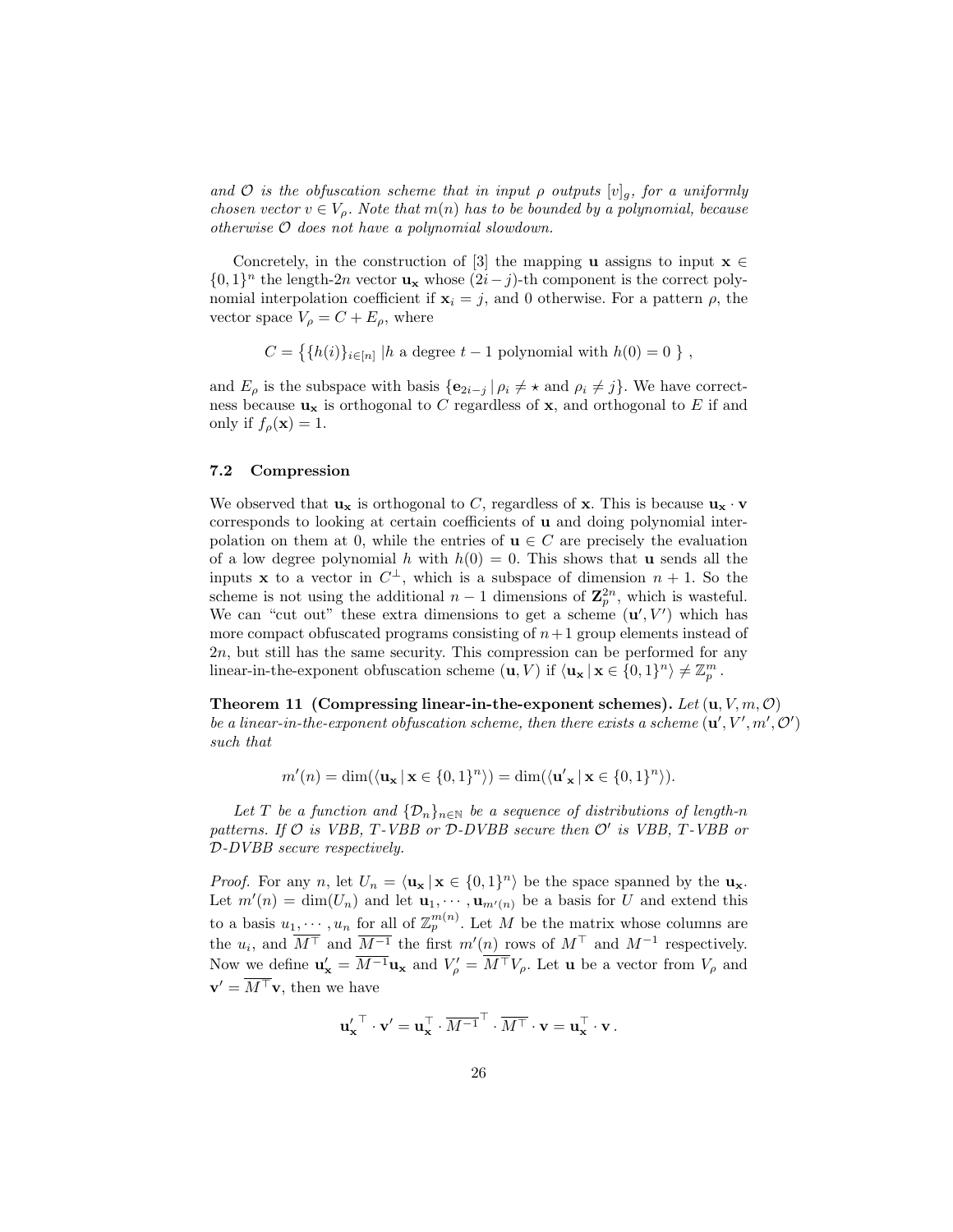and O is the obfuscation scheme that in input  $\rho$  outputs  $[v]_q$ , for a uniformly chosen vector  $v \in V_\rho$ . Note that  $m(n)$  has to be bounded by a polynomial, because otherwise O does not have a polynomial slowdown.

Concretely, in the construction of [3] the mapping **u** assigns to input  $\mathbf{x} \in \mathbb{R}$  $\{0,1\}^n$  the length-2n vector  $\mathbf{u}_\mathbf{x}$  whose  $(2i-j)$ -th component is the correct polynomial interpolation coefficient if  $x_i = j$ , and 0 otherwise. For a pattern  $\rho$ , the vector space  $V_{\rho} = C + E_{\rho}$ , where

$$
C = \{ \{ h(i) \}_{i \in [n]} \mid h \text{ a degree } t - 1 \text{ polynomial with } h(0) = 0 \}
$$

and  $E_{\rho}$  is the subspace with basis  $\{e_{2i-j} | \rho_i \neq \star \text{ and } \rho_i \neq j\}$ . We have correctness because  $\mathbf{u}_{\mathbf{x}}$  is orthogonal to C regardless of  $\mathbf{x}$ , and orthogonal to E if and only if  $f_{\rho}(\mathbf{x}) = 1$ .

### 7.2 Compression

We observed that  $\mathbf{u}_{\mathbf{x}}$  is orthogonal to C, regardless of  $\mathbf{x}$ . This is because  $\mathbf{u}_{\mathbf{x}} \cdot \mathbf{v}$ corresponds to looking at certain coefficients of u and doing polynomial interpolation on them at 0, while the entries of  $\mathbf{u} \in C$  are precisely the evaluation of a low degree polynomial h with  $h(0) = 0$ . This shows that **u** sends all the inputs **x** to a vector in  $C^{\perp}$ , which is a subspace of dimension  $n + 1$ . So the scheme is not using the additional  $n-1$  dimensions of  $\mathbb{Z}_p^{2n}$ , which is wasteful. We can "cut out" these extra dimensions to get a scheme  $(\mathbf{u}', V')$  which has more compact obfuscated programs consisting of  $n+1$  group elements instead of 2n, but still has the same security. This compression can be performed for any linear-in-the-exponent obfuscation scheme  $(\mathbf{u}, V)$  if  $\langle \mathbf{u_x} | \mathbf{x} \in \{0, 1\}^n \rangle \neq \mathbb{Z}_p^m$ .

Theorem 11 (Compressing linear-in-the-exponent schemes). Let  $(\mathbf{u}, V, m, \mathcal{O})$ be a linear-in-the-exponent obfuscation scheme, then there exists a scheme  $(\mathbf{u}', V', m', \mathcal{O}')$ such that

$$
m'(n) = \dim(\langle \mathbf{u}_{\mathbf{x}} \, | \, \mathbf{x} \in \{0,1\}^n \rangle) = \dim(\langle \mathbf{u}'_{\mathbf{x}} \, | \, \mathbf{x} \in \{0,1\}^n \rangle).
$$

Let T be a function and  $\{\mathcal{D}_n\}_{n\in\mathbb{N}}$  be a sequence of distributions of length-n patterns. If  $O$  is VBB, T-VBB or  $D$ -DVBB secure then  $O'$  is VBB, T-VBB or D-DVBB secure respectively.

*Proof.* For any n, let  $U_n = \langle \mathbf{u}_x | x \in \{0,1\}^n \rangle$  be the space spanned by the  $\mathbf{u}_x$ . Let  $m'(n) = \dim(U_n)$  and let  $\mathbf{u}_1, \dots, \mathbf{u}_{m'(n)}$  be a basis for U and extend this to a basis  $u_1, \dots, u_n$  for all of  $\mathbb{Z}_p^{m(n)}$ . Let M be the matrix whose columns are the  $u_i$ , and  $\overline{M}$ <sup>T</sup> and  $\overline{M}$ <sup>-1</sup> the first  $m'(n)$  rows of  $M$ <sup>T</sup> and  $M$ <sup>-1</sup> respectively. Now we define  $\mathbf{u}'_{\mathbf{x}} = \overline{M^{-1}} \mathbf{u}_{\mathbf{x}}$  and  $V'_{\rho} = \overline{M^{+}} V_{\rho}$ . Let **u** be a vector from  $V_{\rho}$  and  $\mathbf{v}' = \overline{M^{\top}} \mathbf{v}$ , then we have

$$
{\bf u_x'}^\top \cdot {\bf v}' = {\bf u_x}^\top \cdot \overline{M^{-1}}^\top \cdot \overline{M^\top} \cdot {\bf v} = {\bf u_x}^\top \cdot {\bf v}.
$$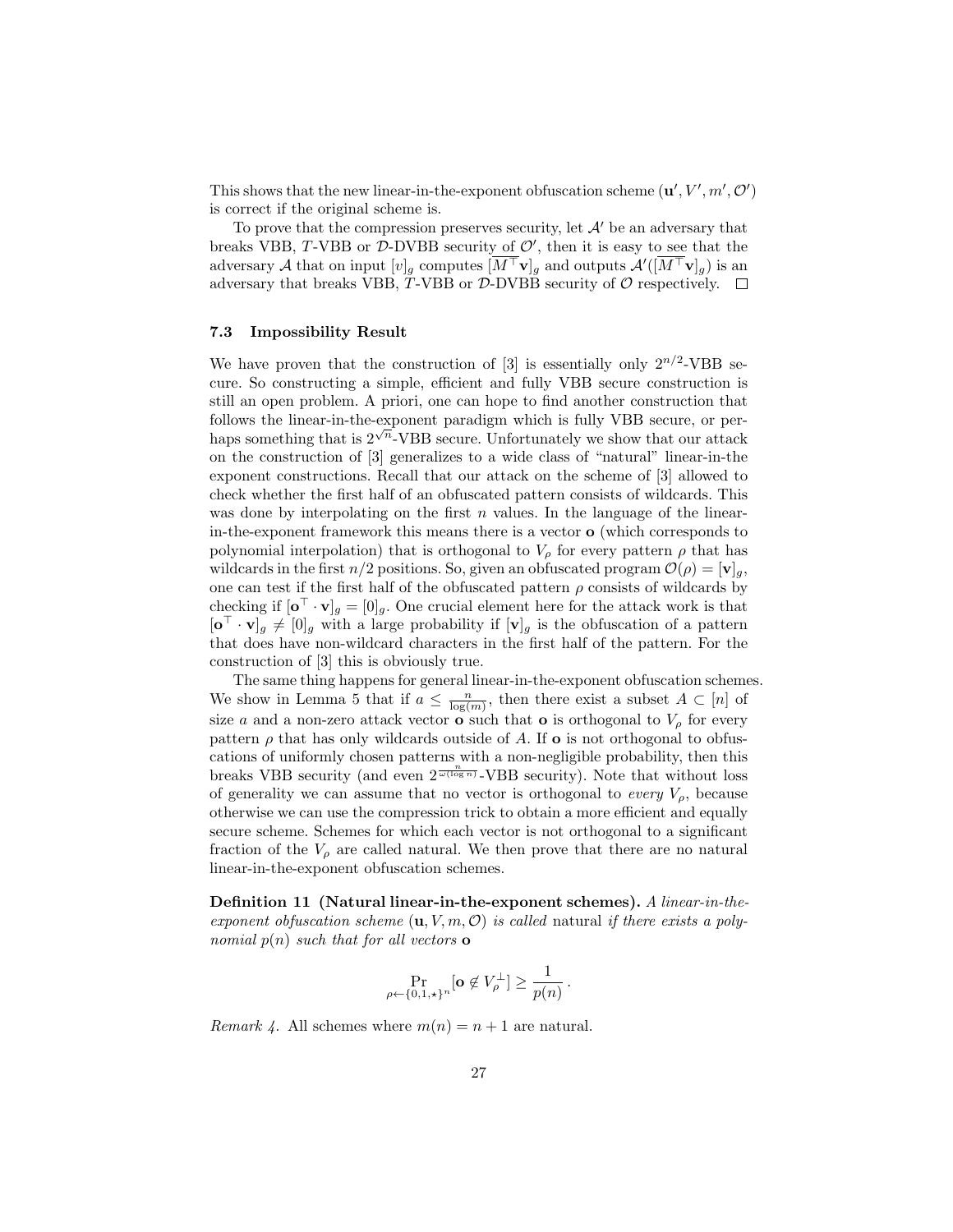This shows that the new linear-in-the-exponent obfuscation scheme  $(\mathbf{u}', V', m', \mathcal{O}')$ is correct if the original scheme is.

To prove that the compression preserves security, let  $\mathcal{A}'$  be an adversary that breaks VBB, T-VBB or  $D$ -DVBB security of  $\mathcal{O}'$ , then it is easy to see that the adversary A that on input  $[v]_g$  computes  $\overline{[M^\top} \mathbf{v}]_g$  and outputs  $\mathcal{A}'([\overline{M^\top} \mathbf{v}]_g)$  is an adversary that breaks VBB, T-VBB or  $\mathcal{D}\text{-DVBB}$  security of  $\mathcal{O}$  respectively.  $\Box$ 

#### 7.3 Impossibility Result

We have proven that the construction of [3] is essentially only  $2^{n/2}$ -VBB secure. So constructing a simple, efficient and fully VBB secure construction is still an open problem. A priori, one can hope to find another construction that follows the linear-in-the-exponent paradigm which is fully VBB secure, or perhaps something that is  $2^{\sqrt{n}}$ -VBB secure. Unfortunately we show that our attack on the construction of [3] generalizes to a wide class of "natural" linear-in-the exponent constructions. Recall that our attack on the scheme of [3] allowed to check whether the first half of an obfuscated pattern consists of wildcards. This was done by interpolating on the first  $n$  values. In the language of the linearin-the-exponent framework this means there is a vector o (which corresponds to polynomial interpolation) that is orthogonal to  $V_\rho$  for every pattern  $\rho$  that has wildcards in the first  $n/2$  positions. So, given an obfuscated program  $\mathcal{O}(\rho) = [\mathbf{v}]_q$ , one can test if the first half of the obfuscated pattern  $\rho$  consists of wildcards by checking if  $[\mathbf{o}^\top \cdot \mathbf{v}]_g = [0]_g$ . One crucial element here for the attack work is that  $[\mathbf{o}^\top \cdot \mathbf{v}]_g \neq [0]_g$  with a large probability if  $[\mathbf{v}]_g$  is the obfuscation of a pattern that does have non-wildcard characters in the first half of the pattern. For the construction of [3] this is obviously true.

The same thing happens for general linear-in-the-exponent obfuscation schemes. We show in Lemma 5 that if  $a \leq \frac{n}{\log(m)}$ , then there exist a subset  $A \subset [n]$  of size a and a non-zero attack vector  $\overrightarrow{\mathbf{o}}$  such that **o** is orthogonal to  $V_{\rho}$  for every pattern  $\rho$  that has only wildcards outside of A. If **o** is not orthogonal to obfuscations of uniformly chosen patterns with a non-negligible probability, then this breaks VBB security (and even  $2^{\frac{n}{\omega(\log n)}}$ -VBB security). Note that without loss of generality we can assume that no vector is orthogonal to every  $V_{\rho}$ , because otherwise we can use the compression trick to obtain a more efficient and equally secure scheme. Schemes for which each vector is not orthogonal to a significant fraction of the  $V_{\rho}$  are called natural. We then prove that there are no natural linear-in-the-exponent obfuscation schemes.

Definition 11 (Natural linear-in-the-exponent schemes). A linear-in-theexponent obfuscation scheme  $(\mathbf{u}, V, m, \mathcal{O})$  is called natural if there exists a polynomial  $p(n)$  such that for all vectors  $\bf{o}$ 

$$
\Pr_{\rho \leftarrow \{0,1,\star\}^n}[\mathbf{o} \not\in V_\rho^\perp] \ge \frac{1}{p(n)}\,.
$$

Remark 4. All schemes where  $m(n) = n + 1$  are natural.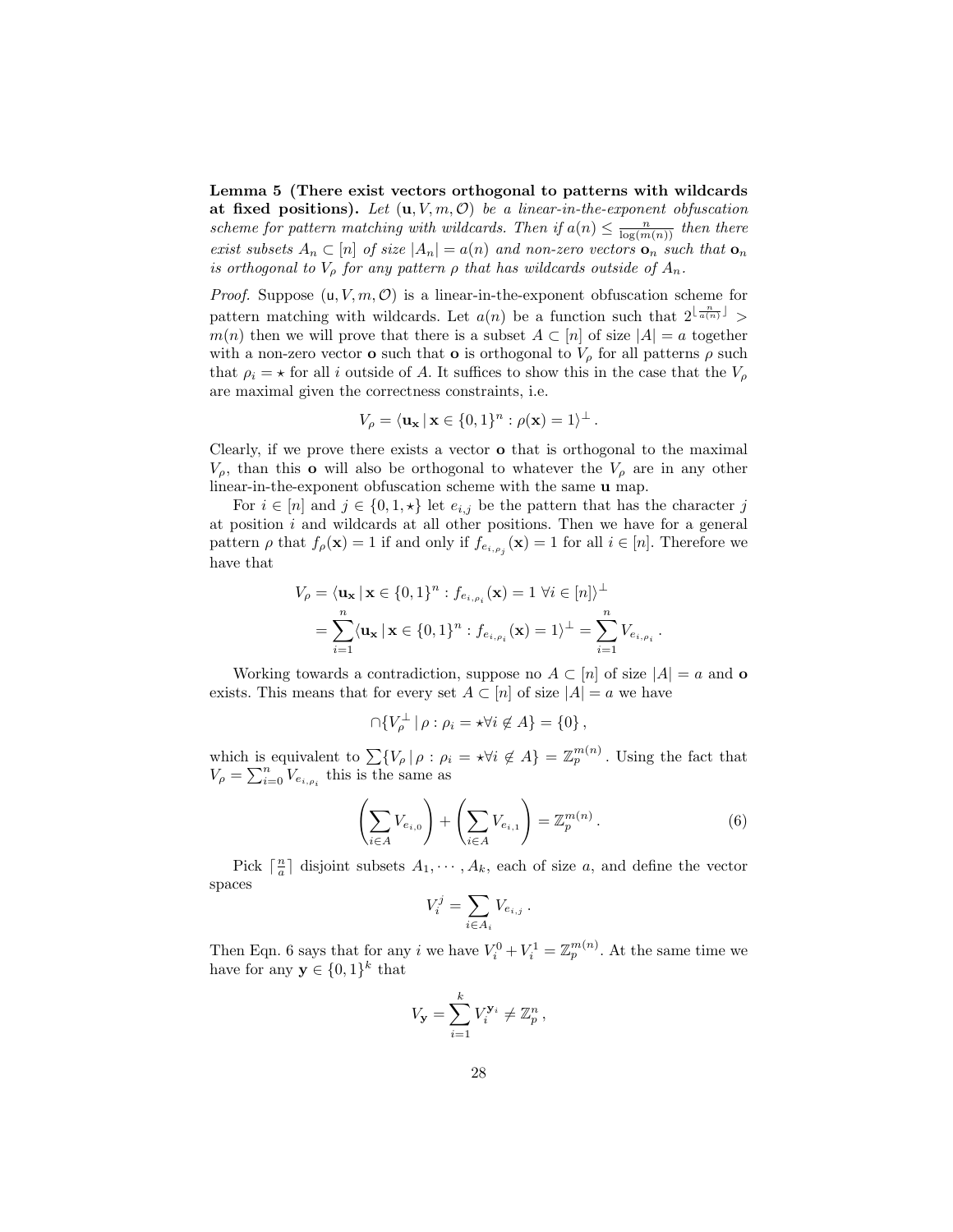Lemma 5 (There exist vectors orthogonal to patterns with wildcards at fixed positions). Let  $(\mathbf{u}, V, m, O)$  be a linear-in-the-exponent obfuscation scheme for pattern matching with wildcards. Then if  $a(n) \leq \frac{n}{\log(m(n))}$  then there exist subsets  $A_n \subset [n]$  of size  $|A_n| = a(n)$  and non-zero vectors  $\mathbf{o}_n$  such that  $\mathbf{o}_n$ is orthogonal to  $V_{\rho}$  for any pattern  $\rho$  that has wildcards outside of  $A_n$ .

*Proof.* Suppose  $(u, V, m, O)$  is a linear-in-the-exponent obfuscation scheme for pattern matching with wildcards. Let  $a(n)$  be a function such that  $2^{\lfloor \frac{n}{a(n)} \rfloor}$  $m(n)$  then we will prove that there is a subset  $A \subset [n]$  of size  $|A| = a$  together with a non-zero vector **o** such that **o** is orthogonal to  $V_\rho$  for all patterns  $\rho$  such that  $\rho_i = \star$  for all i outside of A. It suffices to show this in the case that the  $V_\rho$ are maximal given the correctness constraints, i.e.

$$
V_{\rho} = \langle \mathbf{u}_{\mathbf{x}} \, | \, \mathbf{x} \in \{0,1\}^n : \rho(\mathbf{x}) = 1 \rangle^{\perp}.
$$

Clearly, if we prove there exists a vector o that is orthogonal to the maximal  $V_{\rho}$ , than this **o** will also be orthogonal to whatever the  $V_{\rho}$  are in any other linear-in-the-exponent obfuscation scheme with the same u map.

For  $i \in [n]$  and  $j \in \{0,1,\star\}$  let  $e_{i,j}$  be the pattern that has the character j at position  $i$  and wildcards at all other positions. Then we have for a general pattern  $\rho$  that  $f_{\rho}(\mathbf{x}) = 1$  if and only if  $f_{e_{i,\rho_j}}(\mathbf{x}) = 1$  for all  $i \in [n]$ . Therefore we have that

$$
V_{\rho} = \langle \mathbf{u}_{\mathbf{x}} \, | \, \mathbf{x} \in \{0, 1\}^n : f_{e_{i, \rho_i}}(\mathbf{x}) = 1 \, \forall i \in [n] \rangle^{\perp}
$$
  
= 
$$
\sum_{i=1}^n \langle \mathbf{u}_{\mathbf{x}} \, | \, \mathbf{x} \in \{0, 1\}^n : f_{e_{i, \rho_i}}(\mathbf{x}) = 1 \rangle^{\perp} = \sum_{i=1}^n V_{e_{i, \rho_i}}.
$$

Working towards a contradiction, suppose no  $A \subset [n]$  of size  $|A| = a$  and **o** exists. This means that for every set  $A \subset [n]$  of size  $|A| = a$  we have

$$
\bigcap \{ V_{\rho}^{\perp} \mid \rho : \rho_i = \star \forall i \notin A \} = \{ 0 \} \,,
$$

which is equivalent to  $\sum \{V_{\rho} | \rho : \rho_i = \star \forall i \notin A\} = \mathbb{Z}_p^{m(n)}$ . Using the fact that  $V_{\rho} = \sum_{i=0}^{n} V_{e_{i,\rho_i}}$  this is the same as

$$
\left(\sum_{i\in A} V_{e_{i,0}}\right) + \left(\sum_{i\in A} V_{e_{i,1}}\right) = \mathbb{Z}_p^{m(n)}.
$$
\n
$$
(6)
$$

Pick  $\lceil \frac{n}{a} \rceil$  disjoint subsets  $A_1, \dots, A_k$ , each of size a, and define the vector spaces

$$
V_i^j = \sum_{i \in A_i} V_{e_{i,j}}.
$$

Then Eqn. 6 says that for any i we have  $V_i^0 + V_i^1 = \mathbb{Z}_p^{m(n)}$ . At the same time we have for any  $\mathbf{y} \in \{0,1\}^k$  that

$$
V_{\mathbf{y}} = \sum_{i=1}^{k} V_i^{\mathbf{y}_i} \neq \mathbb{Z}_p^n,
$$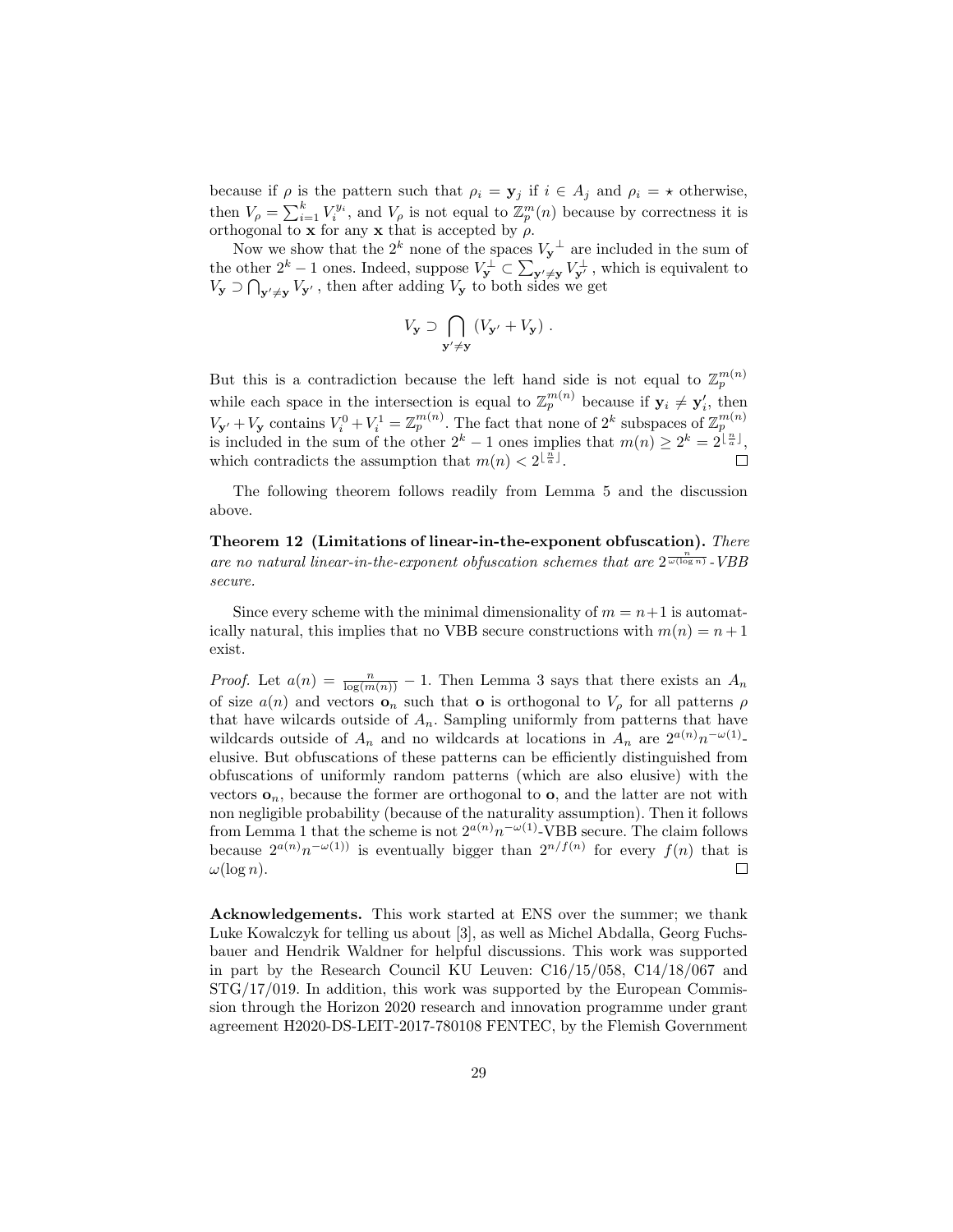because if  $\rho$  is the pattern such that  $\rho_i = \mathbf{y}_j$  if  $i \in A_j$  and  $\rho_i = \star$  otherwise, then  $V_{\rho} = \sum_{i=1}^{k} V_i^{y_i}$ , and  $V_{\rho}$  is not equal to  $\mathbb{Z}_p^m(n)$  because by correctness it is orthogonal to **x** for any **x** that is accepted by  $\rho$ .

Now we show that the  $2^k$  none of the spaces  $V_y^{\perp}$  are included in the sum of the other  $2^k - 1$  ones. Indeed, suppose  $V_y^{\perp} \subset \sum_{\mathbf{y}' \neq \mathbf{y}} V_{\mathbf{y}'}^{\perp}$ , which is equivalent to  $V_{\mathbf{y}} \supset \bigcap_{\mathbf{y}' \neq \mathbf{y}} V_{\mathbf{y}'},$  then after adding  $V_{\mathbf{y}}$  to both sides we get

$$
V_{\mathbf{y}} \supset \bigcap_{\mathbf{y}' \neq \mathbf{y}} (V_{\mathbf{y}'} + V_{\mathbf{y}}) .
$$

But this is a contradiction because the left hand side is not equal to  $\mathbb{Z}_p^{m(n)}$ while each space in the intersection is equal to  $\mathbb{Z}_p^{m(n)}$  because if  $y_i \neq y'_i$ , then  $V_{\mathbf{y'}} + V_{\mathbf{y}}$  contains  $V_i^0 + V_i^1 = \mathbb{Z}_p^{m(n)}$ . The fact that none of  $2^k$  subspaces of  $\mathbb{Z}_p^{m(n)}$  is included in the sum of the other  $2^k - 1$  ones implies that  $m(n) \geq 2^k = 2^{\lfloor \frac{n}{a} \rfloor}$ , which contradicts the assumption that  $m(n) < 2^{\lfloor \frac{n}{a} \rfloor}$ .  $\Box$ 

The following theorem follows readily from Lemma 5 and the discussion above.

Theorem 12 (Limitations of linear-in-the-exponent obfuscation). There are no natural linear-in-the-exponent obfuscation schemes that are  $2^{\frac{n}{\omega(\log n)}}$ -VBB secure.

Since every scheme with the minimal dimensionality of  $m = n+1$  is automatically natural, this implies that no VBB secure constructions with  $m(n) = n + 1$ exist.

*Proof.* Let  $a(n) = \frac{n}{\log(m(n))} - 1$ . Then Lemma 3 says that there exists an  $A_n$ of size  $a(n)$  and vectors  $\mathbf{o}_n$  such that **o** is orthogonal to  $V_\rho$  for all patterns  $\rho$ that have wilcards outside of  $A_n$ . Sampling uniformly from patterns that have wildcards outside of  $A_n$  and no wildcards at locations in  $A_n$  are  $2^{a(n)}n^{-\omega(1)}$ . elusive. But obfuscations of these patterns can be efficiently distinguished from obfuscations of uniformly random patterns (which are also elusive) with the vectors  $\mathbf{o}_n$ , because the former are orthogonal to  $\mathbf{o}$ , and the latter are not with non negligible probability (because of the naturality assumption). Then it follows from Lemma 1 that the scheme is not  $2^{a(n)}n^{-\omega(1)}$ -VBB secure. The claim follows because  $2^{a(n)}n^{-\omega(1)}$  is eventually bigger than  $2^{n/f(n)}$  for every  $f(n)$  that is  $\omega(\log n)$ .  $\Box$ 

Acknowledgements. This work started at ENS over the summer; we thank Luke Kowalczyk for telling us about [3], as well as Michel Abdalla, Georg Fuchsbauer and Hendrik Waldner for helpful discussions. This work was supported in part by the Research Council KU Leuven: C16/15/058, C14/18/067 and  $STG/17/019$ . In addition, this work was supported by the European Commission through the Horizon 2020 research and innovation programme under grant agreement H2020-DS-LEIT-2017-780108 FENTEC, by the Flemish Government